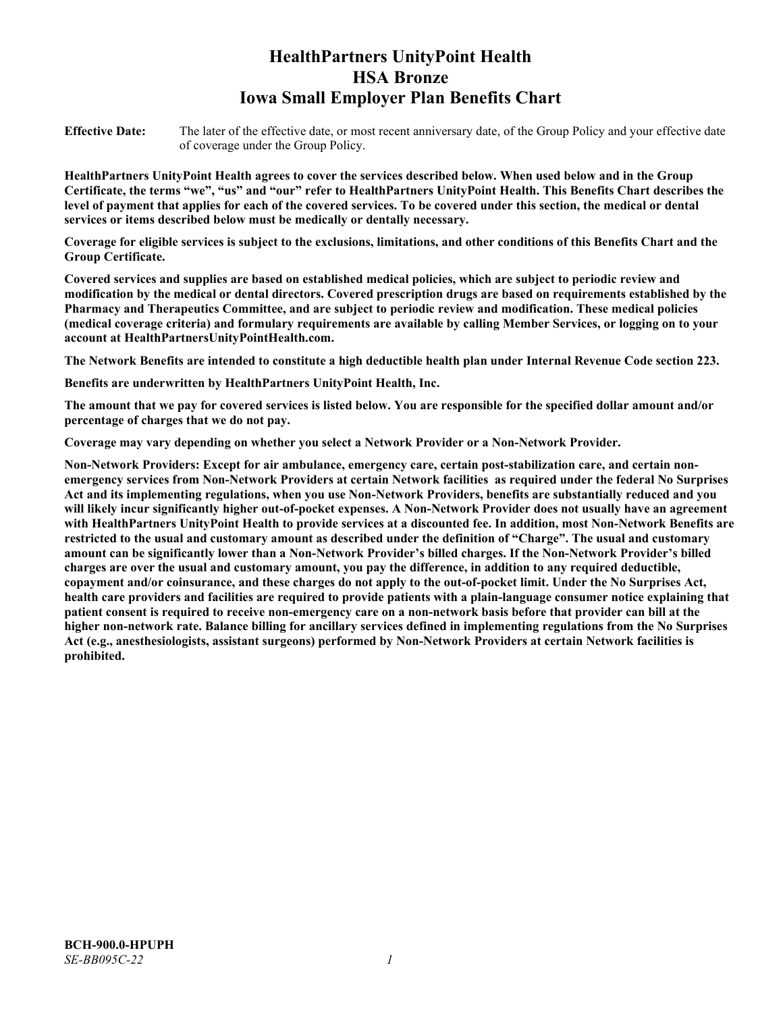# **HealthPartners UnityPoint Health HSA Bronze Iowa Small Employer Plan Benefits Chart**

**Effective Date:** The later of the effective date, or most recent anniversary date, of the Group Policy and your effective date of coverage under the Group Policy.

**HealthPartners UnityPoint Health agrees to cover the services described below. When used below and in the Group Certificate, the terms "we", "us" and "our" refer to HealthPartners UnityPoint Health. This Benefits Chart describes the level of payment that applies for each of the covered services. To be covered under this section, the medical or dental services or items described below must be medically or dentally necessary.**

**Coverage for eligible services is subject to the exclusions, limitations, and other conditions of this Benefits Chart and the Group Certificate.** 

**Covered services and supplies are based on established medical policies, which are subject to periodic review and modification by the medical or dental directors. Covered prescription drugs are based on requirements established by the Pharmacy and Therapeutics Committee, and are subject to periodic review and modification. These medical policies (medical coverage criteria) and formulary requirements are available by calling Member Services, or logging on to your account at [HealthPartnersUnityPointHealth.com.](https://www.healthpartnersunitypointhealth.com/)**

**The Network Benefits are intended to constitute a high deductible health plan under Internal Revenue Code section 223.**

**Benefits are underwritten by HealthPartners UnityPoint Health, Inc.**

**The amount that we pay for covered services is listed below. You are responsible for the specified dollar amount and/or percentage of charges that we do not pay.**

**Coverage may vary depending on whether you select a Network Provider or a Non-Network Provider.**

**Non-Network Providers: Except for air ambulance, emergency care, certain post-stabilization care, and certain nonemergency services from Non-Network Providers at certain Network facilities as required under the federal No Surprises Act and its implementing regulations, when you use Non-Network Providers, benefits are substantially reduced and you will likely incur significantly higher out-of-pocket expenses. A Non-Network Provider does not usually have an agreement with HealthPartners UnityPoint Health to provide services at a discounted fee. In addition, most Non-Network Benefits are restricted to the usual and customary amount as described under the definition of "Charge". The usual and customary amount can be significantly lower than a Non-Network Provider's billed charges. If the Non-Network Provider's billed charges are over the usual and customary amount, you pay the difference, in addition to any required deductible, copayment and/or coinsurance, and these charges do not apply to the out-of-pocket limit. Under the No Surprises Act, health care providers and facilities are required to provide patients with a plain-language consumer notice explaining that patient consent is required to receive non-emergency care on a non-network basis before that provider can bill at the higher non-network rate. Balance billing for ancillary services defined in implementing regulations from the No Surprises Act (e.g., anesthesiologists, assistant surgeons) performed by Non-Network Providers at certain Network facilities is prohibited.**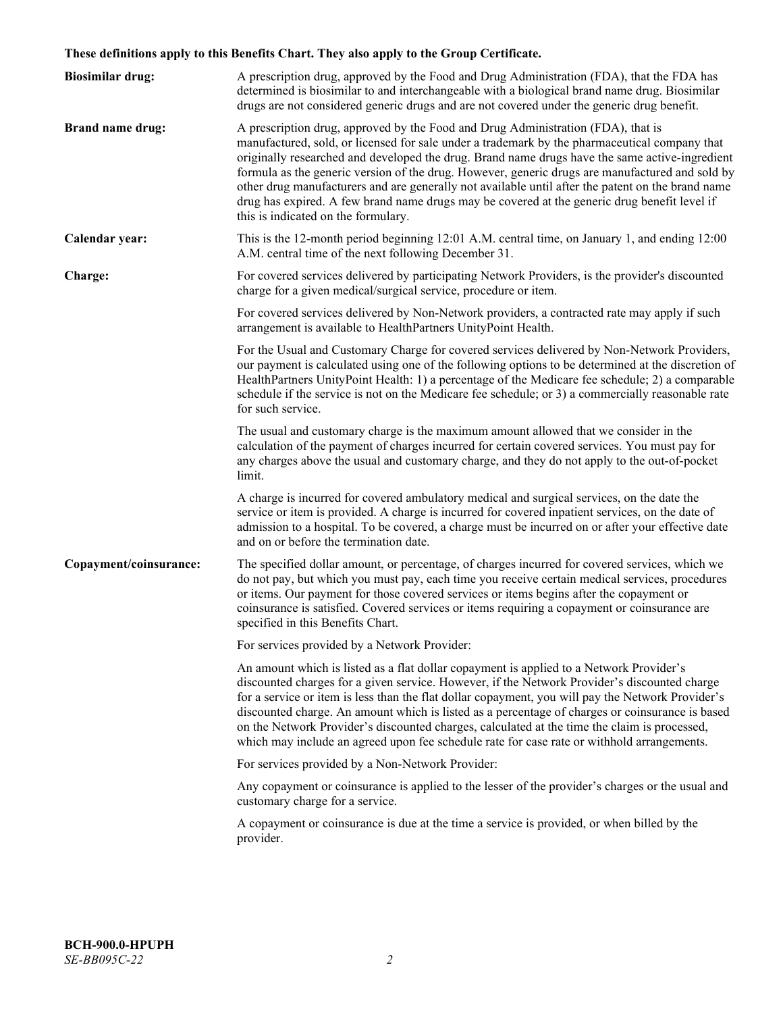# **These definitions apply to this Benefits Chart. They also apply to the Group Certificate.**

| <b>Biosimilar drug:</b> | A prescription drug, approved by the Food and Drug Administration (FDA), that the FDA has<br>determined is biosimilar to and interchangeable with a biological brand name drug. Biosimilar<br>drugs are not considered generic drugs and are not covered under the generic drug benefit.                                                                                                                                                                                                                                                                                                                                           |
|-------------------------|------------------------------------------------------------------------------------------------------------------------------------------------------------------------------------------------------------------------------------------------------------------------------------------------------------------------------------------------------------------------------------------------------------------------------------------------------------------------------------------------------------------------------------------------------------------------------------------------------------------------------------|
| <b>Brand name drug:</b> | A prescription drug, approved by the Food and Drug Administration (FDA), that is<br>manufactured, sold, or licensed for sale under a trademark by the pharmaceutical company that<br>originally researched and developed the drug. Brand name drugs have the same active-ingredient<br>formula as the generic version of the drug. However, generic drugs are manufactured and sold by<br>other drug manufacturers and are generally not available until after the patent on the brand name<br>drug has expired. A few brand name drugs may be covered at the generic drug benefit level if<br>this is indicated on the formulary. |
| Calendar year:          | This is the 12-month period beginning 12:01 A.M. central time, on January 1, and ending 12:00<br>A.M. central time of the next following December 31.                                                                                                                                                                                                                                                                                                                                                                                                                                                                              |
| Charge:                 | For covered services delivered by participating Network Providers, is the provider's discounted<br>charge for a given medical/surgical service, procedure or item.                                                                                                                                                                                                                                                                                                                                                                                                                                                                 |
|                         | For covered services delivered by Non-Network providers, a contracted rate may apply if such<br>arrangement is available to HealthPartners UnityPoint Health.                                                                                                                                                                                                                                                                                                                                                                                                                                                                      |
|                         | For the Usual and Customary Charge for covered services delivered by Non-Network Providers,<br>our payment is calculated using one of the following options to be determined at the discretion of<br>HealthPartners UnityPoint Health: 1) a percentage of the Medicare fee schedule; 2) a comparable<br>schedule if the service is not on the Medicare fee schedule; or 3) a commercially reasonable rate<br>for such service.                                                                                                                                                                                                     |
|                         | The usual and customary charge is the maximum amount allowed that we consider in the<br>calculation of the payment of charges incurred for certain covered services. You must pay for<br>any charges above the usual and customary charge, and they do not apply to the out-of-pocket<br>limit.                                                                                                                                                                                                                                                                                                                                    |
|                         | A charge is incurred for covered ambulatory medical and surgical services, on the date the<br>service or item is provided. A charge is incurred for covered inpatient services, on the date of<br>admission to a hospital. To be covered, a charge must be incurred on or after your effective date<br>and on or before the termination date.                                                                                                                                                                                                                                                                                      |
| Copayment/coinsurance:  | The specified dollar amount, or percentage, of charges incurred for covered services, which we<br>do not pay, but which you must pay, each time you receive certain medical services, procedures<br>or items. Our payment for those covered services or items begins after the copayment or<br>coinsurance is satisfied. Covered services or items requiring a copayment or coinsurance are<br>specified in this Benefits Chart.                                                                                                                                                                                                   |
|                         | For services provided by a Network Provider:                                                                                                                                                                                                                                                                                                                                                                                                                                                                                                                                                                                       |
|                         | An amount which is listed as a flat dollar copayment is applied to a Network Provider's<br>discounted charges for a given service. However, if the Network Provider's discounted charge<br>for a service or item is less than the flat dollar copayment, you will pay the Network Provider's<br>discounted charge. An amount which is listed as a percentage of charges or coinsurance is based<br>on the Network Provider's discounted charges, calculated at the time the claim is processed,<br>which may include an agreed upon fee schedule rate for case rate or withhold arrangements.                                      |
|                         | For services provided by a Non-Network Provider:                                                                                                                                                                                                                                                                                                                                                                                                                                                                                                                                                                                   |
|                         | Any copayment or coinsurance is applied to the lesser of the provider's charges or the usual and<br>customary charge for a service.                                                                                                                                                                                                                                                                                                                                                                                                                                                                                                |
|                         | A copayment or coinsurance is due at the time a service is provided, or when billed by the<br>provider.                                                                                                                                                                                                                                                                                                                                                                                                                                                                                                                            |
|                         |                                                                                                                                                                                                                                                                                                                                                                                                                                                                                                                                                                                                                                    |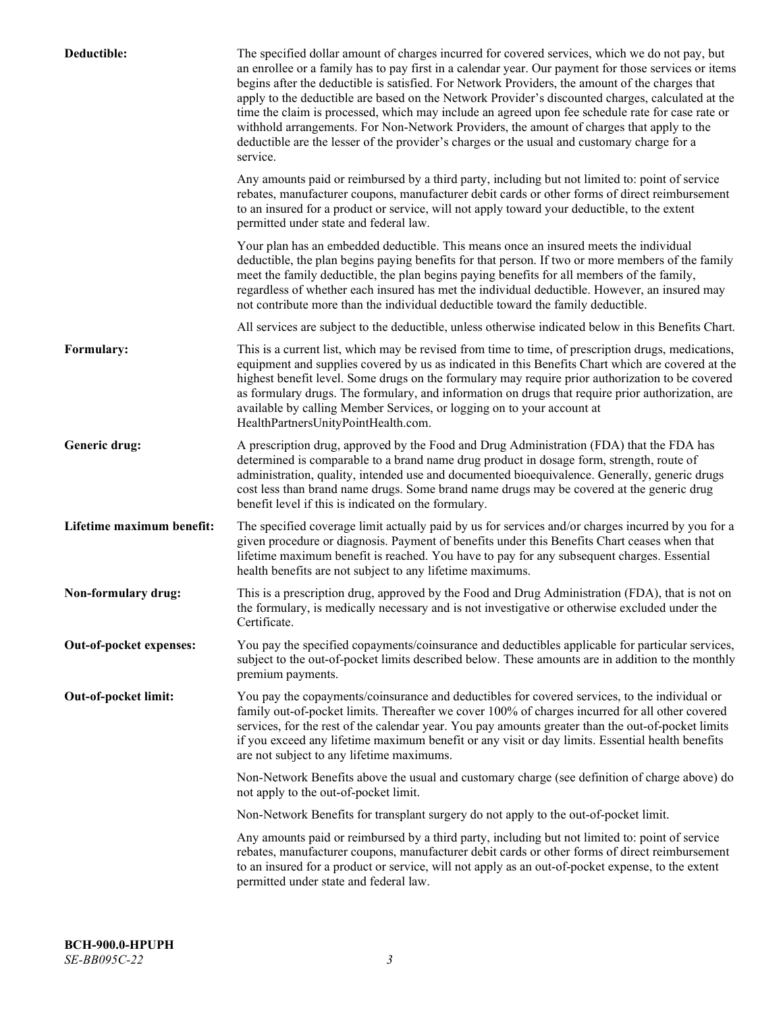| Deductible:               | The specified dollar amount of charges incurred for covered services, which we do not pay, but<br>an enrollee or a family has to pay first in a calendar year. Our payment for those services or items<br>begins after the deductible is satisfied. For Network Providers, the amount of the charges that<br>apply to the deductible are based on the Network Provider's discounted charges, calculated at the<br>time the claim is processed, which may include an agreed upon fee schedule rate for case rate or<br>withhold arrangements. For Non-Network Providers, the amount of charges that apply to the<br>deductible are the lesser of the provider's charges or the usual and customary charge for a<br>service. |
|---------------------------|----------------------------------------------------------------------------------------------------------------------------------------------------------------------------------------------------------------------------------------------------------------------------------------------------------------------------------------------------------------------------------------------------------------------------------------------------------------------------------------------------------------------------------------------------------------------------------------------------------------------------------------------------------------------------------------------------------------------------|
|                           | Any amounts paid or reimbursed by a third party, including but not limited to: point of service<br>rebates, manufacturer coupons, manufacturer debit cards or other forms of direct reimbursement<br>to an insured for a product or service, will not apply toward your deductible, to the extent<br>permitted under state and federal law.                                                                                                                                                                                                                                                                                                                                                                                |
|                           | Your plan has an embedded deductible. This means once an insured meets the individual<br>deductible, the plan begins paying benefits for that person. If two or more members of the family<br>meet the family deductible, the plan begins paying benefits for all members of the family,<br>regardless of whether each insured has met the individual deductible. However, an insured may<br>not contribute more than the individual deductible toward the family deductible.                                                                                                                                                                                                                                              |
|                           | All services are subject to the deductible, unless otherwise indicated below in this Benefits Chart.                                                                                                                                                                                                                                                                                                                                                                                                                                                                                                                                                                                                                       |
| Formulary:                | This is a current list, which may be revised from time to time, of prescription drugs, medications,<br>equipment and supplies covered by us as indicated in this Benefits Chart which are covered at the<br>highest benefit level. Some drugs on the formulary may require prior authorization to be covered<br>as formulary drugs. The formulary, and information on drugs that require prior authorization, are<br>available by calling Member Services, or logging on to your account at<br>HealthPartnersUnityPointHealth.com.                                                                                                                                                                                         |
| Generic drug:             | A prescription drug, approved by the Food and Drug Administration (FDA) that the FDA has<br>determined is comparable to a brand name drug product in dosage form, strength, route of<br>administration, quality, intended use and documented bioequivalence. Generally, generic drugs<br>cost less than brand name drugs. Some brand name drugs may be covered at the generic drug<br>benefit level if this is indicated on the formulary.                                                                                                                                                                                                                                                                                 |
| Lifetime maximum benefit: | The specified coverage limit actually paid by us for services and/or charges incurred by you for a<br>given procedure or diagnosis. Payment of benefits under this Benefits Chart ceases when that<br>lifetime maximum benefit is reached. You have to pay for any subsequent charges. Essential<br>health benefits are not subject to any lifetime maximums.                                                                                                                                                                                                                                                                                                                                                              |
| Non-formulary drug:       | This is a prescription drug, approved by the Food and Drug Administration (FDA), that is not on<br>the formulary, is medically necessary and is not investigative or otherwise excluded under the<br>Certificate.                                                                                                                                                                                                                                                                                                                                                                                                                                                                                                          |
| Out-of-pocket expenses:   | You pay the specified copayments/coinsurance and deductibles applicable for particular services,<br>subject to the out-of-pocket limits described below. These amounts are in addition to the monthly<br>premium payments.                                                                                                                                                                                                                                                                                                                                                                                                                                                                                                 |
| Out-of-pocket limit:      | You pay the copayments/coinsurance and deductibles for covered services, to the individual or<br>family out-of-pocket limits. Thereafter we cover 100% of charges incurred for all other covered<br>services, for the rest of the calendar year. You pay amounts greater than the out-of-pocket limits<br>if you exceed any lifetime maximum benefit or any visit or day limits. Essential health benefits<br>are not subject to any lifetime maximums.                                                                                                                                                                                                                                                                    |
|                           | Non-Network Benefits above the usual and customary charge (see definition of charge above) do<br>not apply to the out-of-pocket limit.                                                                                                                                                                                                                                                                                                                                                                                                                                                                                                                                                                                     |
|                           | Non-Network Benefits for transplant surgery do not apply to the out-of-pocket limit.                                                                                                                                                                                                                                                                                                                                                                                                                                                                                                                                                                                                                                       |
|                           | Any amounts paid or reimbursed by a third party, including but not limited to: point of service<br>rebates, manufacturer coupons, manufacturer debit cards or other forms of direct reimbursement<br>to an insured for a product or service, will not apply as an out-of-pocket expense, to the extent<br>permitted under state and federal law.                                                                                                                                                                                                                                                                                                                                                                           |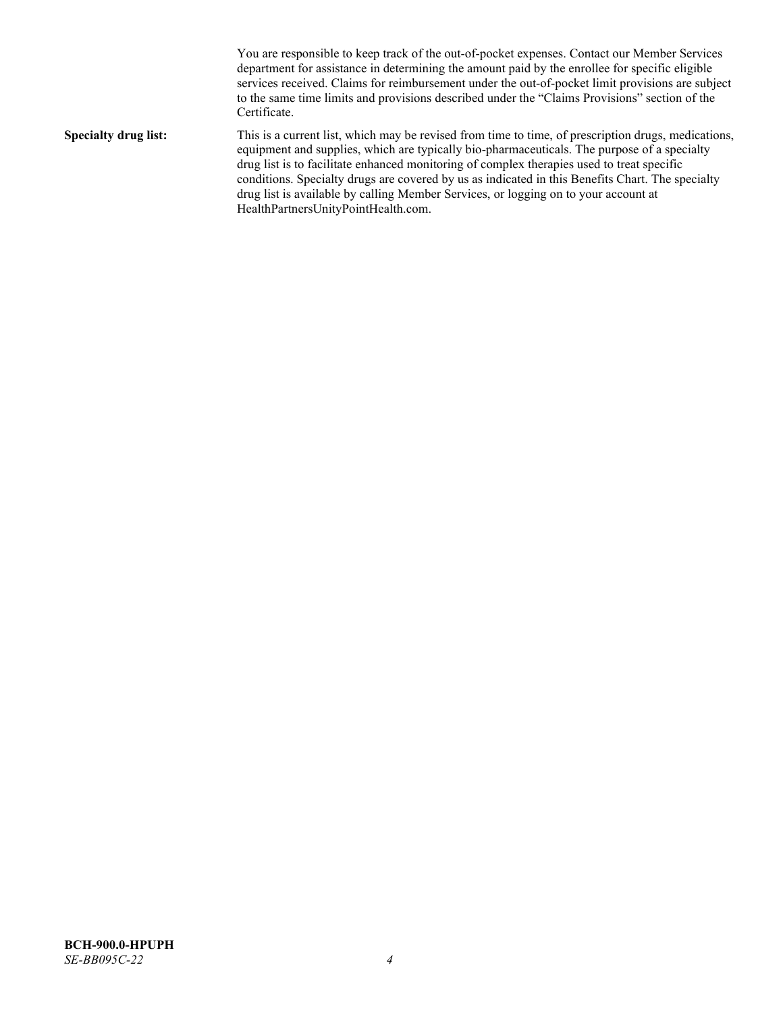You are responsible to keep track of the out-of-pocket expenses. Contact our Member Services department for assistance in determining the amount paid by the enrollee for specific eligible services received. Claims for reimbursement under the out-of-pocket limit provisions are subject to the same time limits and provisions described under the "Claims Provisions" section of the Certificate. **Specialty drug list:** This is a current list, which may be revised from time to time, of prescription drugs, medications, equipment and supplies, which are typically bio-pharmaceuticals. The purpose of a specialty drug list is to facilitate enhanced monitoring of complex therapies used to treat specific conditions. Specialty drugs are covered by us as indicated in this Benefits Chart. The specialty drug list is available by calling Member Services, or logging on to your account at [HealthPartnersUnityPointHealth.com.](https://www.healthpartnersunitypointhealth.com/)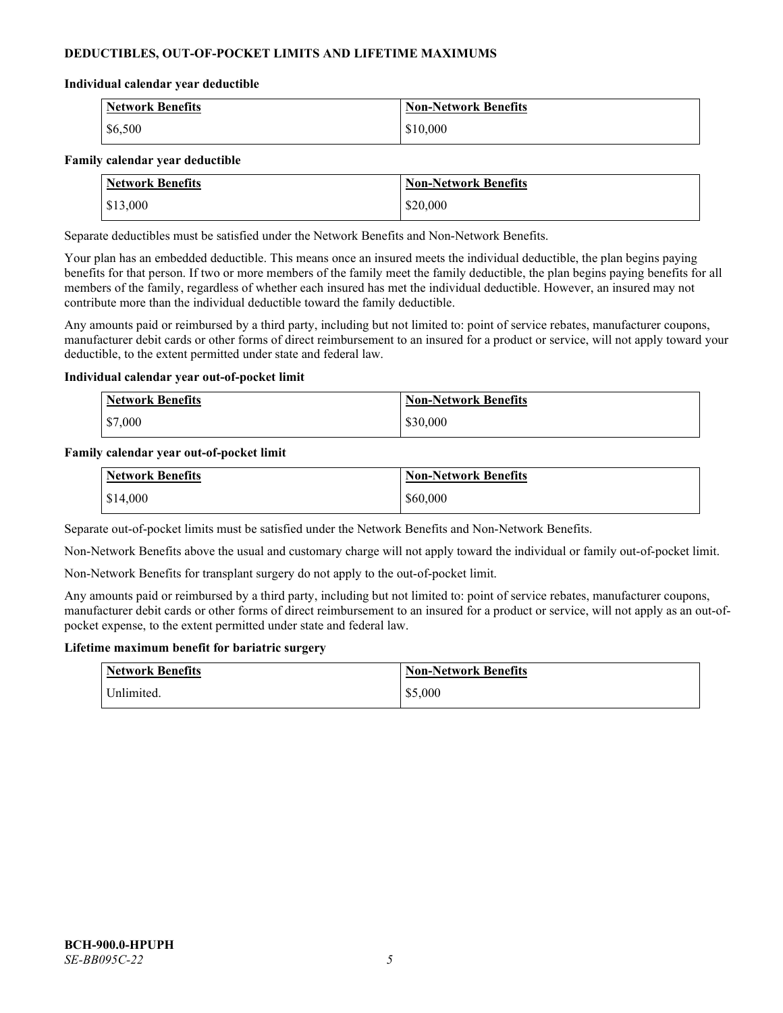# **DEDUCTIBLES, OUT-OF-POCKET LIMITS AND LIFETIME MAXIMUMS**

#### **Individual calendar year deductible**

| <b>Network Benefits</b> | <b>Non-Network Benefits</b> |
|-------------------------|-----------------------------|
| \$6,500                 | \$10,000                    |

#### **Family calendar year deductible**

| <b>Network Benefits</b> | <b>Non-Network Benefits</b> |
|-------------------------|-----------------------------|
| \$13,000                | \$20,000                    |

Separate deductibles must be satisfied under the Network Benefits and Non-Network Benefits.

Your plan has an embedded deductible. This means once an insured meets the individual deductible, the plan begins paying benefits for that person. If two or more members of the family meet the family deductible, the plan begins paying benefits for all members of the family, regardless of whether each insured has met the individual deductible. However, an insured may not contribute more than the individual deductible toward the family deductible.

Any amounts paid or reimbursed by a third party, including but not limited to: point of service rebates, manufacturer coupons, manufacturer debit cards or other forms of direct reimbursement to an insured for a product or service, will not apply toward your deductible, to the extent permitted under state and federal law.

#### **Individual calendar year out-of-pocket limit**

| <b>Network Benefits</b> | <b>Non-Network Benefits</b> |
|-------------------------|-----------------------------|
| \$7,000                 | \$30,000                    |

#### **Family calendar year out-of-pocket limit**

| <b>Network Benefits</b> | <b>Non-Network Benefits</b> |
|-------------------------|-----------------------------|
| \$14,000                | \$60,000                    |

Separate out-of-pocket limits must be satisfied under the Network Benefits and Non-Network Benefits.

Non-Network Benefits above the usual and customary charge will not apply toward the individual or family out-of-pocket limit.

Non-Network Benefits for transplant surgery do not apply to the out-of-pocket limit.

Any amounts paid or reimbursed by a third party, including but not limited to: point of service rebates, manufacturer coupons, manufacturer debit cards or other forms of direct reimbursement to an insured for a product or service, will not apply as an out-ofpocket expense, to the extent permitted under state and federal law.

#### **Lifetime maximum benefit for bariatric surgery**

| <b>Network Benefits</b> | <b>Non-Network Benefits</b> |
|-------------------------|-----------------------------|
| <sup>I</sup> Inlimited. | \$5,000                     |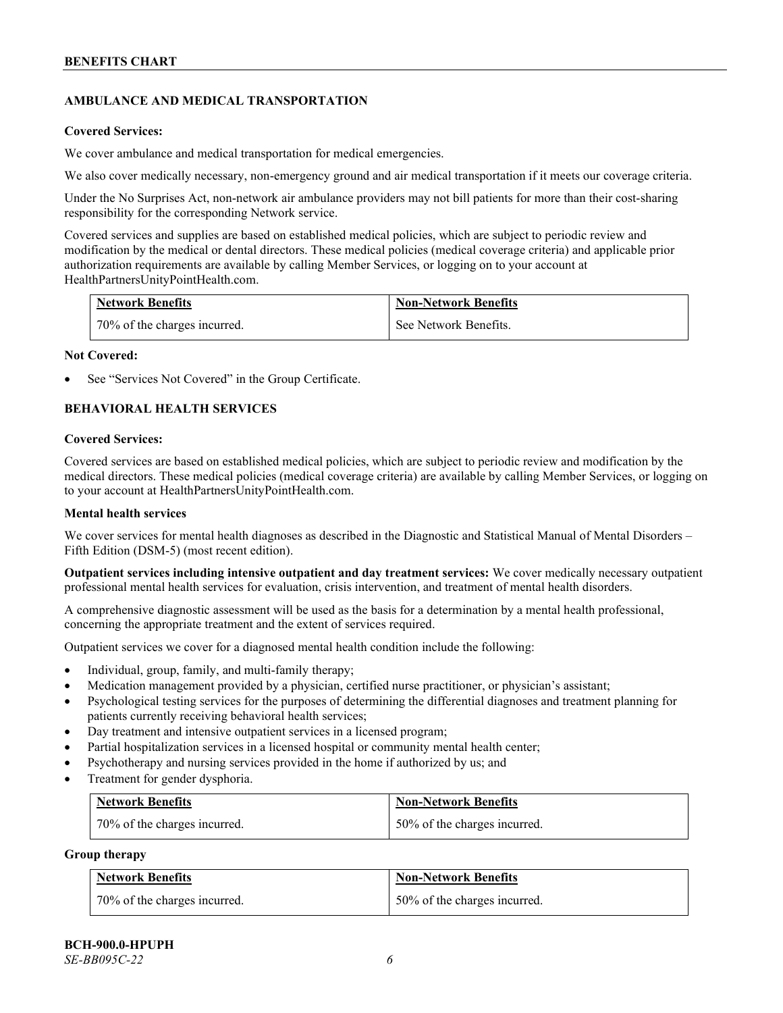# **AMBULANCE AND MEDICAL TRANSPORTATION**

#### **Covered Services:**

We cover ambulance and medical transportation for medical emergencies.

We also cover medically necessary, non-emergency ground and air medical transportation if it meets our coverage criteria.

Under the No Surprises Act, non-network air ambulance providers may not bill patients for more than their cost-sharing responsibility for the corresponding Network service.

Covered services and supplies are based on established medical policies, which are subject to periodic review and modification by the medical or dental directors. These medical policies (medical coverage criteria) and applicable prior authorization requirements are available by calling Member Services, or logging on to your account at [HealthPartnersUnityPointHealth.com.](https://www.healthpartnersunitypointhealth.com/)

| <b>Network Benefits</b>      | <b>Non-Network Benefits</b> |
|------------------------------|-----------------------------|
| 70% of the charges incurred. | See Network Benefits.       |

#### **Not Covered:**

See "Services Not Covered" in the Group Certificate.

# **BEHAVIORAL HEALTH SERVICES**

#### **Covered Services:**

Covered services are based on established medical policies, which are subject to periodic review and modification by the medical directors. These medical policies (medical coverage criteria) are available by calling Member Services, or logging on to your account at [HealthPartnersUnityPointHealth.com.](https://www.healthpartnersunitypointhealth.com/)

# **Mental health services**

We cover services for mental health diagnoses as described in the Diagnostic and Statistical Manual of Mental Disorders – Fifth Edition (DSM-5) (most recent edition).

**Outpatient services including intensive outpatient and day treatment services:** We cover medically necessary outpatient professional mental health services for evaluation, crisis intervention, and treatment of mental health disorders.

A comprehensive diagnostic assessment will be used as the basis for a determination by a mental health professional, concerning the appropriate treatment and the extent of services required.

Outpatient services we cover for a diagnosed mental health condition include the following:

- Individual, group, family, and multi-family therapy;
- Medication management provided by a physician, certified nurse practitioner, or physician's assistant;
- Psychological testing services for the purposes of determining the differential diagnoses and treatment planning for patients currently receiving behavioral health services;
- Day treatment and intensive outpatient services in a licensed program;
- Partial hospitalization services in a licensed hospital or community mental health center;
- Psychotherapy and nursing services provided in the home if authorized by us; and
- Treatment for gender dysphoria.

| <b>Network Benefits</b>      | <b>Non-Network Benefits</b>  |
|------------------------------|------------------------------|
| 70% of the charges incurred. | 50% of the charges incurred. |

#### **Group therapy**

| <b>Network Benefits</b>      | <b>Non-Network Benefits</b>  |
|------------------------------|------------------------------|
| 70% of the charges incurred. | 50% of the charges incurred. |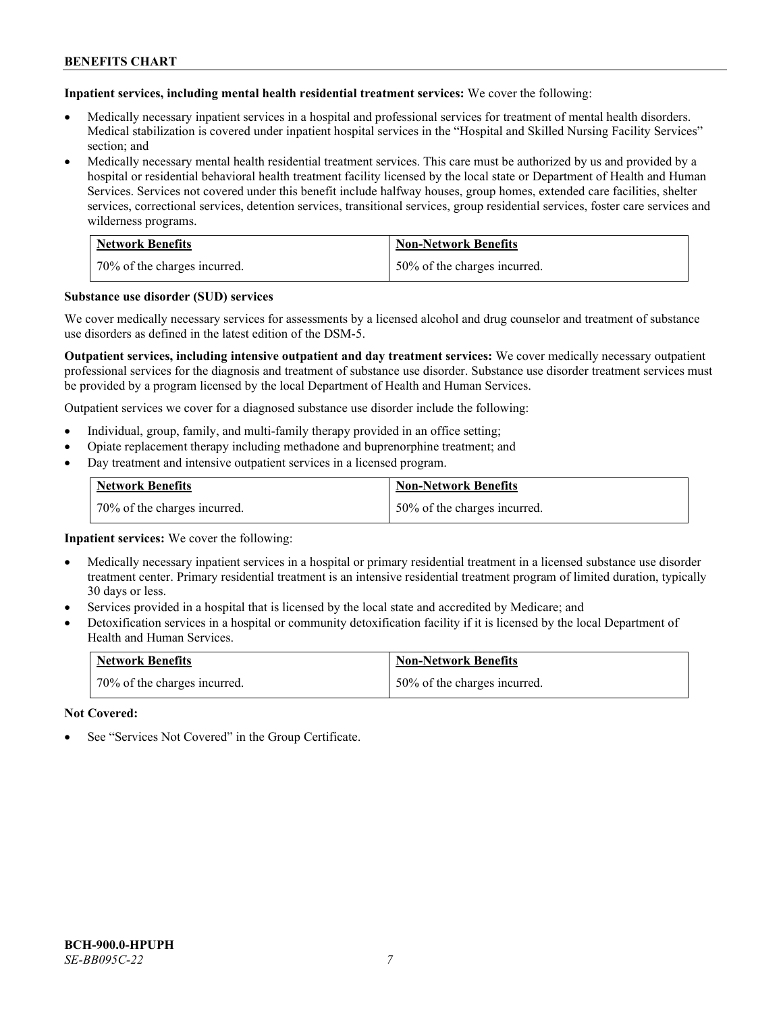**Inpatient services, including mental health residential treatment services:** We cover the following:

- Medically necessary inpatient services in a hospital and professional services for treatment of mental health disorders. Medical stabilization is covered under inpatient hospital services in the "Hospital and Skilled Nursing Facility Services" section; and
- Medically necessary mental health residential treatment services. This care must be authorized by us and provided by a hospital or residential behavioral health treatment facility licensed by the local state or Department of Health and Human Services. Services not covered under this benefit include halfway houses, group homes, extended care facilities, shelter services, correctional services, detention services, transitional services, group residential services, foster care services and wilderness programs.

| <b>Network Benefits</b>      | <b>Non-Network Benefits</b>  |
|------------------------------|------------------------------|
| 70% of the charges incurred. | 50% of the charges incurred. |

#### **Substance use disorder (SUD) services**

We cover medically necessary services for assessments by a licensed alcohol and drug counselor and treatment of substance use disorders as defined in the latest edition of the DSM-5.

**Outpatient services, including intensive outpatient and day treatment services:** We cover medically necessary outpatient professional services for the diagnosis and treatment of substance use disorder. Substance use disorder treatment services must be provided by a program licensed by the local Department of Health and Human Services.

Outpatient services we cover for a diagnosed substance use disorder include the following:

- Individual, group, family, and multi-family therapy provided in an office setting;
- Opiate replacement therapy including methadone and buprenorphine treatment; and
- Day treatment and intensive outpatient services in a licensed program.

| <b>Network Benefits</b>      | <b>Non-Network Benefits</b>  |
|------------------------------|------------------------------|
| 70% of the charges incurred. | 50% of the charges incurred. |

**Inpatient services:** We cover the following:

- Medically necessary inpatient services in a hospital or primary residential treatment in a licensed substance use disorder treatment center. Primary residential treatment is an intensive residential treatment program of limited duration, typically 30 days or less.
- Services provided in a hospital that is licensed by the local state and accredited by Medicare; and
- Detoxification services in a hospital or community detoxification facility if it is licensed by the local Department of Health and Human Services.

| <b>Network Benefits</b>      | <b>Non-Network Benefits</b>  |
|------------------------------|------------------------------|
| 70% of the charges incurred. | 50% of the charges incurred. |

**Not Covered:**

See "Services Not Covered" in the Group Certificate.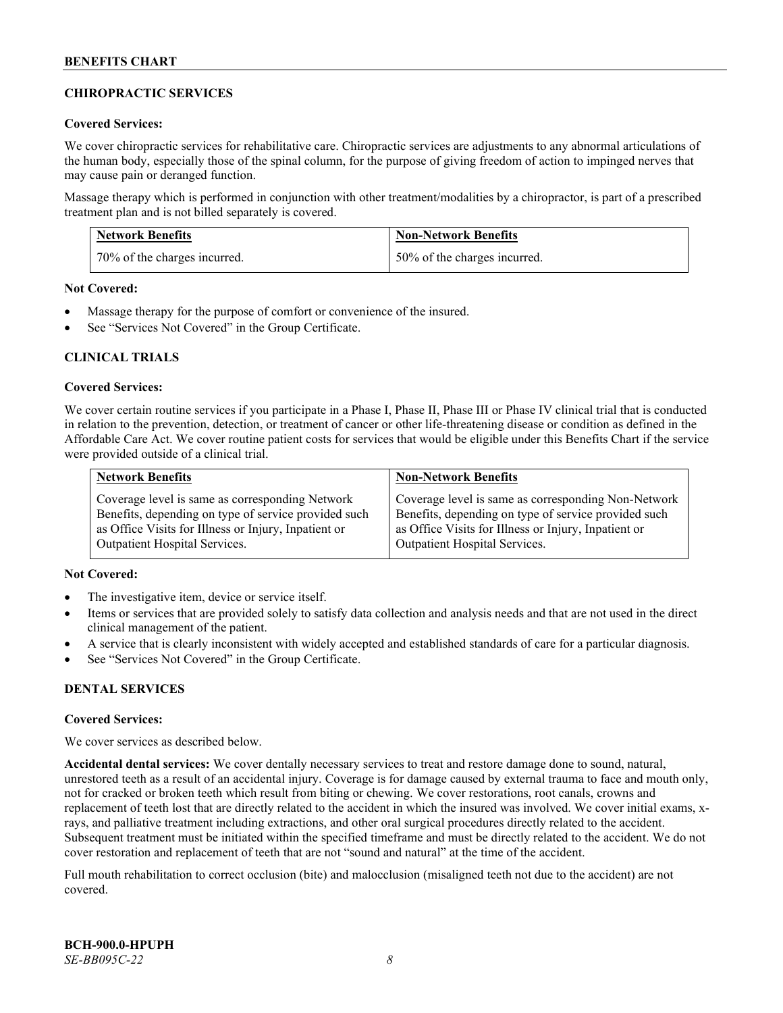# **CHIROPRACTIC SERVICES**

## **Covered Services:**

We cover chiropractic services for rehabilitative care. Chiropractic services are adjustments to any abnormal articulations of the human body, especially those of the spinal column, for the purpose of giving freedom of action to impinged nerves that may cause pain or deranged function.

Massage therapy which is performed in conjunction with other treatment/modalities by a chiropractor, is part of a prescribed treatment plan and is not billed separately is covered.

| <b>Network Benefits</b>      | <b>Non-Network Benefits</b>  |
|------------------------------|------------------------------|
| 70% of the charges incurred. | 50% of the charges incurred. |

**Not Covered:**

- Massage therapy for the purpose of comfort or convenience of the insured.
- See "Services Not Covered" in the Group Certificate.

# **CLINICAL TRIALS**

#### **Covered Services:**

We cover certain routine services if you participate in a Phase I, Phase II, Phase III or Phase IV clinical trial that is conducted in relation to the prevention, detection, or treatment of cancer or other life-threatening disease or condition as defined in the Affordable Care Act. We cover routine patient costs for services that would be eligible under this Benefits Chart if the service were provided outside of a clinical trial.

| <b>Network Benefits</b>                              | <b>Non-Network Benefits</b>                          |
|------------------------------------------------------|------------------------------------------------------|
| Coverage level is same as corresponding Network      | Coverage level is same as corresponding Non-Network  |
| Benefits, depending on type of service provided such | Benefits, depending on type of service provided such |
| as Office Visits for Illness or Injury, Inpatient or | as Office Visits for Illness or Injury, Inpatient or |
| <b>Outpatient Hospital Services.</b>                 | <b>Outpatient Hospital Services.</b>                 |

# **Not Covered:**

- The investigative item, device or service itself.
- Items or services that are provided solely to satisfy data collection and analysis needs and that are not used in the direct clinical management of the patient.
- A service that is clearly inconsistent with widely accepted and established standards of care for a particular diagnosis.
- See "Services Not Covered" in the Group Certificate.

# **DENTAL SERVICES**

#### **Covered Services:**

We cover services as described below.

**Accidental dental services:** We cover dentally necessary services to treat and restore damage done to sound, natural, unrestored teeth as a result of an accidental injury. Coverage is for damage caused by external trauma to face and mouth only, not for cracked or broken teeth which result from biting or chewing. We cover restorations, root canals, crowns and replacement of teeth lost that are directly related to the accident in which the insured was involved. We cover initial exams, xrays, and palliative treatment including extractions, and other oral surgical procedures directly related to the accident. Subsequent treatment must be initiated within the specified timeframe and must be directly related to the accident. We do not cover restoration and replacement of teeth that are not "sound and natural" at the time of the accident.

Full mouth rehabilitation to correct occlusion (bite) and malocclusion (misaligned teeth not due to the accident) are not covered.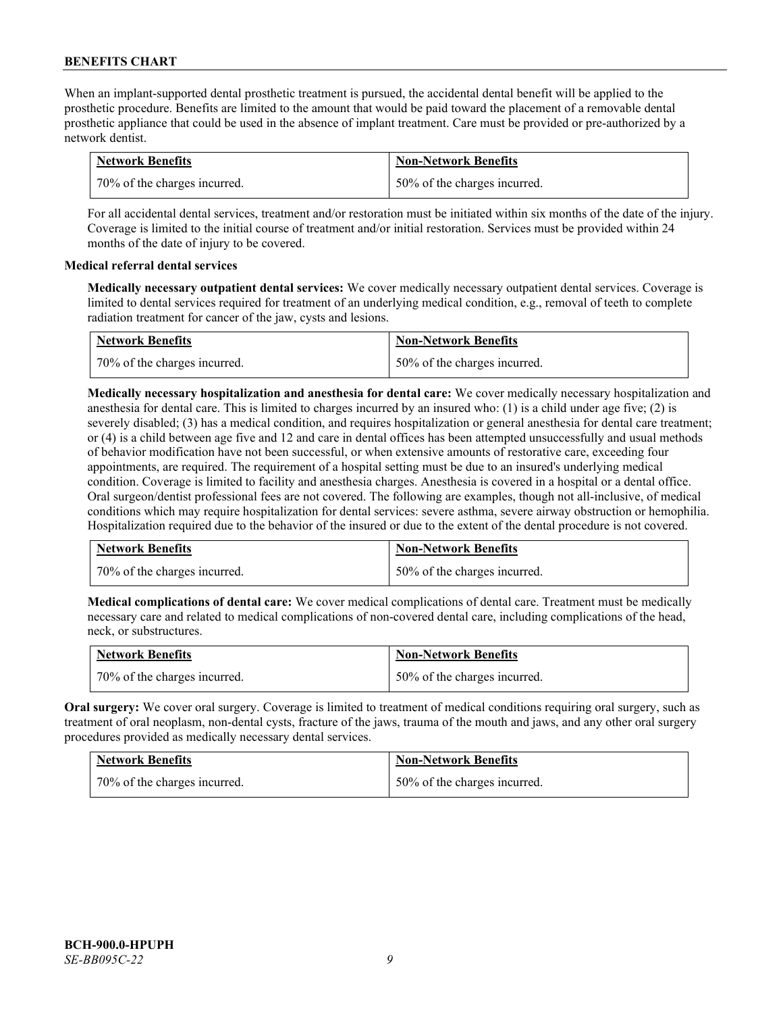When an implant-supported dental prosthetic treatment is pursued, the accidental dental benefit will be applied to the prosthetic procedure. Benefits are limited to the amount that would be paid toward the placement of a removable dental prosthetic appliance that could be used in the absence of implant treatment. Care must be provided or pre-authorized by a network dentist.

| <b>Network Benefits</b>      | <b>Non-Network Benefits</b>  |
|------------------------------|------------------------------|
| 70% of the charges incurred. | 50% of the charges incurred. |

For all accidental dental services, treatment and/or restoration must be initiated within six months of the date of the injury. Coverage is limited to the initial course of treatment and/or initial restoration. Services must be provided within 24 months of the date of injury to be covered.

# **Medical referral dental services**

**Medically necessary outpatient dental services:** We cover medically necessary outpatient dental services. Coverage is limited to dental services required for treatment of an underlying medical condition, e.g., removal of teeth to complete radiation treatment for cancer of the jaw, cysts and lesions.

| <b>Network Benefits</b>      | <b>Non-Network Benefits</b>  |
|------------------------------|------------------------------|
| 70% of the charges incurred. | 50% of the charges incurred. |

**Medically necessary hospitalization and anesthesia for dental care:** We cover medically necessary hospitalization and anesthesia for dental care. This is limited to charges incurred by an insured who: (1) is a child under age five; (2) is severely disabled; (3) has a medical condition, and requires hospitalization or general anesthesia for dental care treatment; or (4) is a child between age five and 12 and care in dental offices has been attempted unsuccessfully and usual methods of behavior modification have not been successful, or when extensive amounts of restorative care, exceeding four appointments, are required. The requirement of a hospital setting must be due to an insured's underlying medical condition. Coverage is limited to facility and anesthesia charges. Anesthesia is covered in a hospital or a dental office. Oral surgeon/dentist professional fees are not covered. The following are examples, though not all-inclusive, of medical conditions which may require hospitalization for dental services: severe asthma, severe airway obstruction or hemophilia. Hospitalization required due to the behavior of the insured or due to the extent of the dental procedure is not covered.

| <b>Network Benefits</b>      | <b>Non-Network Benefits</b>  |
|------------------------------|------------------------------|
| 70% of the charges incurred. | 50% of the charges incurred. |

**Medical complications of dental care:** We cover medical complications of dental care. Treatment must be medically necessary care and related to medical complications of non-covered dental care, including complications of the head, neck, or substructures.

| <b>Network Benefits</b>        | <b>Non-Network Benefits</b>  |
|--------------------------------|------------------------------|
| 1 70% of the charges incurred. | 50% of the charges incurred. |

**Oral surgery:** We cover oral surgery. Coverage is limited to treatment of medical conditions requiring oral surgery, such as treatment of oral neoplasm, non-dental cysts, fracture of the jaws, trauma of the mouth and jaws, and any other oral surgery procedures provided as medically necessary dental services.

| <b>Network Benefits</b>      | <b>Non-Network Benefits</b>  |
|------------------------------|------------------------------|
| 70% of the charges incurred. | 50% of the charges incurred. |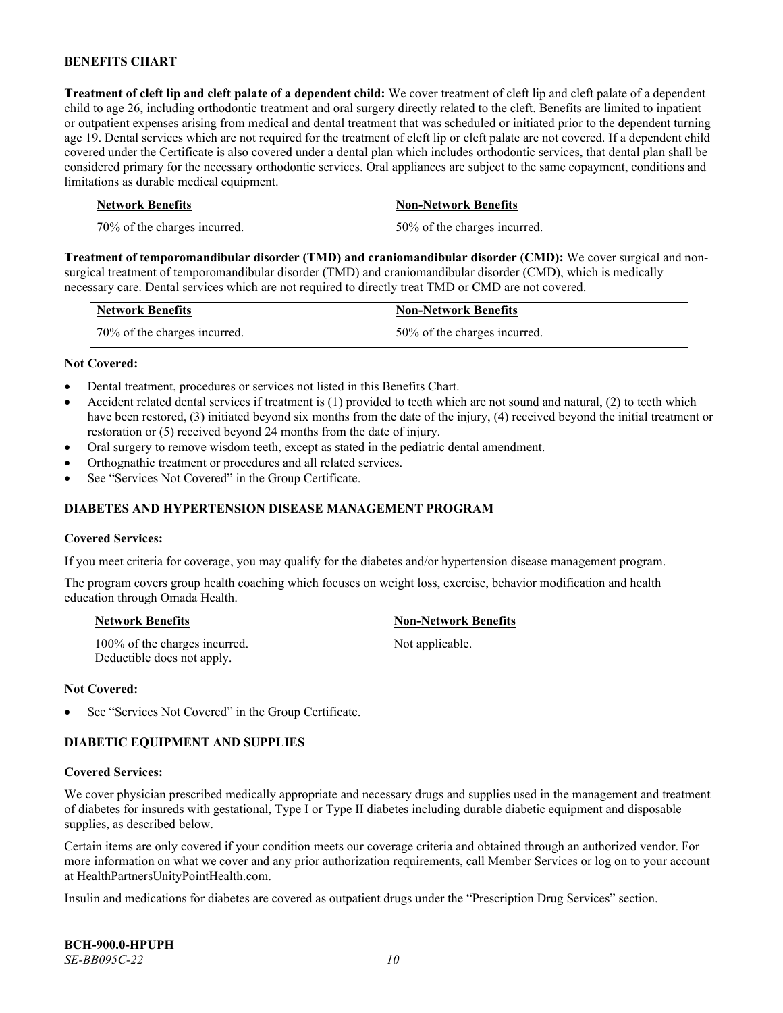**Treatment of cleft lip and cleft palate of a dependent child:** We cover treatment of cleft lip and cleft palate of a dependent child to age 26, including orthodontic treatment and oral surgery directly related to the cleft. Benefits are limited to inpatient or outpatient expenses arising from medical and dental treatment that was scheduled or initiated prior to the dependent turning age 19. Dental services which are not required for the treatment of cleft lip or cleft palate are not covered. If a dependent child covered under the Certificate is also covered under a dental plan which includes orthodontic services, that dental plan shall be considered primary for the necessary orthodontic services. Oral appliances are subject to the same copayment, conditions and limitations as durable medical equipment.

| <b>Network Benefits</b>      | <b>Non-Network Benefits</b>  |
|------------------------------|------------------------------|
| 70% of the charges incurred. | 50% of the charges incurred. |

**Treatment of temporomandibular disorder (TMD) and craniomandibular disorder (CMD):** We cover surgical and nonsurgical treatment of temporomandibular disorder (TMD) and craniomandibular disorder (CMD), which is medically necessary care. Dental services which are not required to directly treat TMD or CMD are not covered.

| <b>Network Benefits</b>      | <b>Non-Network Benefits</b>  |
|------------------------------|------------------------------|
| 70% of the charges incurred. | 50% of the charges incurred. |

#### **Not Covered:**

- Dental treatment, procedures or services not listed in this Benefits Chart.
- Accident related dental services if treatment is (1) provided to teeth which are not sound and natural, (2) to teeth which have been restored, (3) initiated beyond six months from the date of the injury, (4) received beyond the initial treatment or restoration or (5) received beyond 24 months from the date of injury.
- Oral surgery to remove wisdom teeth, except as stated in the pediatric dental amendment.
- Orthognathic treatment or procedures and all related services.
- See "Services Not Covered" in the Group Certificate.

# **DIABETES AND HYPERTENSION DISEASE MANAGEMENT PROGRAM**

#### **Covered Services:**

If you meet criteria for coverage, you may qualify for the diabetes and/or hypertension disease management program.

The program covers group health coaching which focuses on weight loss, exercise, behavior modification and health education through Omada Health.

| <b>Network Benefits</b>                                     | <b>Non-Network Benefits</b> |
|-------------------------------------------------------------|-----------------------------|
| 100% of the charges incurred.<br>Deductible does not apply. | Not applicable.             |

#### **Not Covered:**

See "Services Not Covered" in the Group Certificate.

# **DIABETIC EQUIPMENT AND SUPPLIES**

#### **Covered Services:**

We cover physician prescribed medically appropriate and necessary drugs and supplies used in the management and treatment of diabetes for insureds with gestational, Type I or Type II diabetes including durable diabetic equipment and disposable supplies, as described below.

Certain items are only covered if your condition meets our coverage criteria and obtained through an authorized vendor. For more information on what we cover and any prior authorization requirements, call Member Services or log on to your account at [HealthPartnersUnityPointHealth.com.](https://www.healthpartnersunitypointhealth.com/)

Insulin and medications for diabetes are covered as outpatient drugs under the "Prescription Drug Services" section.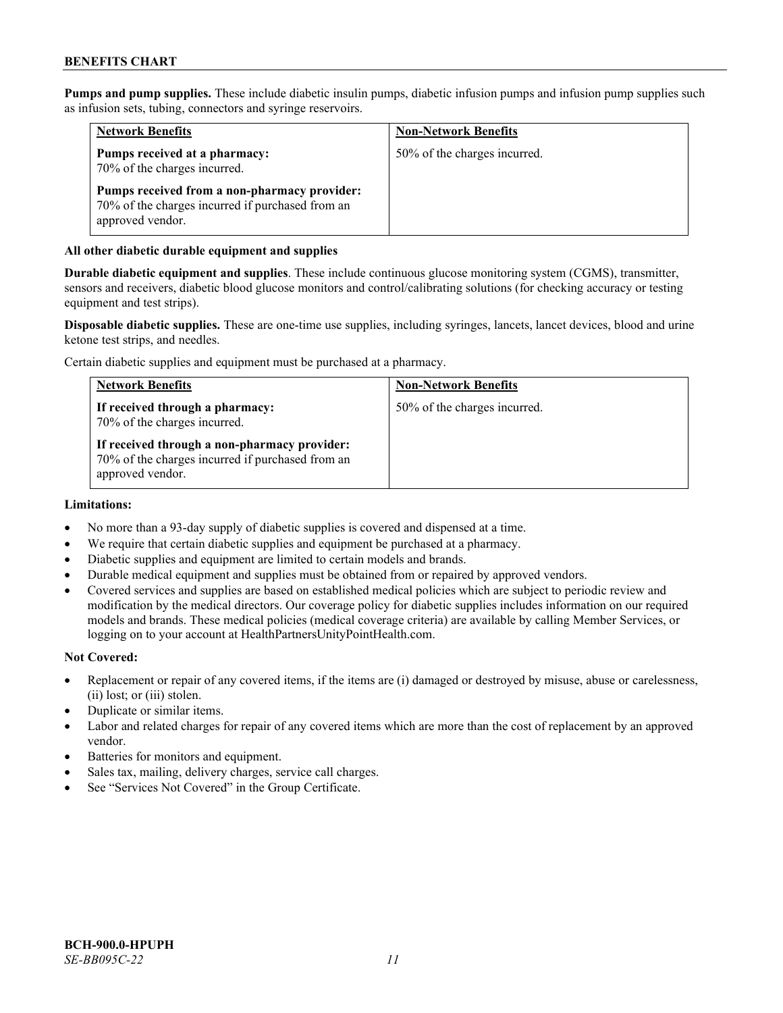**Pumps and pump supplies.** These include diabetic insulin pumps, diabetic infusion pumps and infusion pump supplies such as infusion sets, tubing, connectors and syringe reservoirs.

| <b>Network Benefits</b>                                                                                              | <b>Non-Network Benefits</b>  |
|----------------------------------------------------------------------------------------------------------------------|------------------------------|
| Pumps received at a pharmacy:<br>70% of the charges incurred.                                                        | 50% of the charges incurred. |
| Pumps received from a non-pharmacy provider:<br>70% of the charges incurred if purchased from an<br>approved vendor. |                              |

# **All other diabetic durable equipment and supplies**

**Durable diabetic equipment and supplies**. These include continuous glucose monitoring system (CGMS), transmitter, sensors and receivers, diabetic blood glucose monitors and control/calibrating solutions (for checking accuracy or testing equipment and test strips).

**Disposable diabetic supplies.** These are one-time use supplies, including syringes, lancets, lancet devices, blood and urine ketone test strips, and needles.

Certain diabetic supplies and equipment must be purchased at a pharmacy.

| <b>Network Benefits</b>                                                                                              | <b>Non-Network Benefits</b>  |
|----------------------------------------------------------------------------------------------------------------------|------------------------------|
| If received through a pharmacy:<br>70% of the charges incurred.                                                      | 50% of the charges incurred. |
| If received through a non-pharmacy provider:<br>70% of the charges incurred if purchased from an<br>approved vendor. |                              |

#### **Limitations:**

- No more than a 93-day supply of diabetic supplies is covered and dispensed at a time.
- We require that certain diabetic supplies and equipment be purchased at a pharmacy.
- Diabetic supplies and equipment are limited to certain models and brands.
- Durable medical equipment and supplies must be obtained from or repaired by approved vendors.
- Covered services and supplies are based on established medical policies which are subject to periodic review and modification by the medical directors. Our coverage policy for diabetic supplies includes information on our required models and brands. These medical policies (medical coverage criteria) are available by calling Member Services, or logging on to your account a[t HealthPartnersUnityPointHealth.com.](https://www.healthpartnersunitypointhealth.com/)

#### **Not Covered:**

- Replacement or repair of any covered items, if the items are (i) damaged or destroyed by misuse, abuse or carelessness, (ii) lost; or (iii) stolen.
- Duplicate or similar items.
- Labor and related charges for repair of any covered items which are more than the cost of replacement by an approved vendor.
- Batteries for monitors and equipment.
- Sales tax, mailing, delivery charges, service call charges.
- See "Services Not Covered" in the Group Certificate.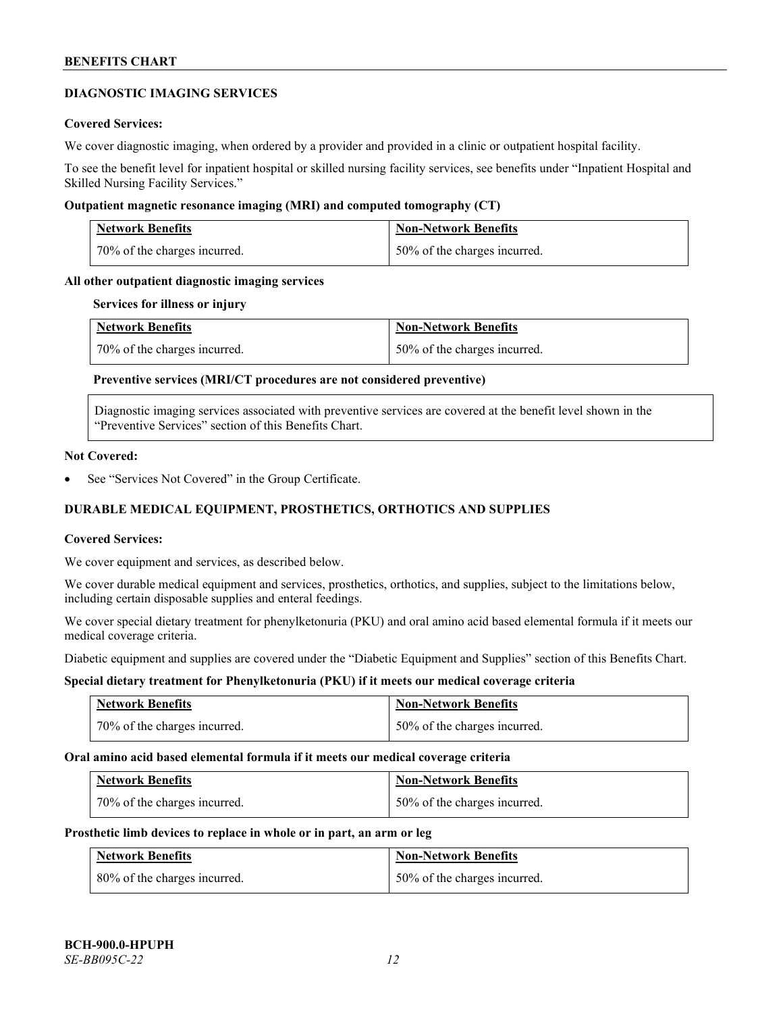# **DIAGNOSTIC IMAGING SERVICES**

### **Covered Services:**

We cover diagnostic imaging, when ordered by a provider and provided in a clinic or outpatient hospital facility.

To see the benefit level for inpatient hospital or skilled nursing facility services, see benefits under "Inpatient Hospital and Skilled Nursing Facility Services."

#### **Outpatient magnetic resonance imaging (MRI) and computed tomography (CT)**

| <b>Network Benefits</b>      | <b>Non-Network Benefits</b>  |
|------------------------------|------------------------------|
| 70% of the charges incurred. | 50% of the charges incurred. |

### **All other outpatient diagnostic imaging services**

#### **Services for illness or injury**

| <b>Network Benefits</b>      | <b>Non-Network Benefits</b>  |
|------------------------------|------------------------------|
| 70% of the charges incurred. | 50% of the charges incurred. |

# **Preventive services (MRI/CT procedures are not considered preventive)**

Diagnostic imaging services associated with preventive services are covered at the benefit level shown in the "Preventive Services" section of this Benefits Chart.

#### **Not Covered:**

See "Services Not Covered" in the Group Certificate.

# **DURABLE MEDICAL EQUIPMENT, PROSTHETICS, ORTHOTICS AND SUPPLIES**

#### **Covered Services:**

We cover equipment and services, as described below.

We cover durable medical equipment and services, prosthetics, orthotics, and supplies, subject to the limitations below, including certain disposable supplies and enteral feedings.

We cover special dietary treatment for phenylketonuria (PKU) and oral amino acid based elemental formula if it meets our medical coverage criteria.

Diabetic equipment and supplies are covered under the "Diabetic Equipment and Supplies" section of this Benefits Chart.

# **Special dietary treatment for Phenylketonuria (PKU) if it meets our medical coverage criteria**

| <b>Network Benefits</b>      | <b>Non-Network Benefits</b>  |
|------------------------------|------------------------------|
| 70% of the charges incurred. | 50% of the charges incurred. |

#### **Oral amino acid based elemental formula if it meets our medical coverage criteria**

| Network Benefits             | <b>Non-Network Benefits</b>  |
|------------------------------|------------------------------|
| 70% of the charges incurred. | 50% of the charges incurred. |

#### **Prosthetic limb devices to replace in whole or in part, an arm or leg**

| <b>Network Benefits</b>      | <b>Non-Network Benefits</b>  |
|------------------------------|------------------------------|
| 80% of the charges incurred. | 50% of the charges incurred. |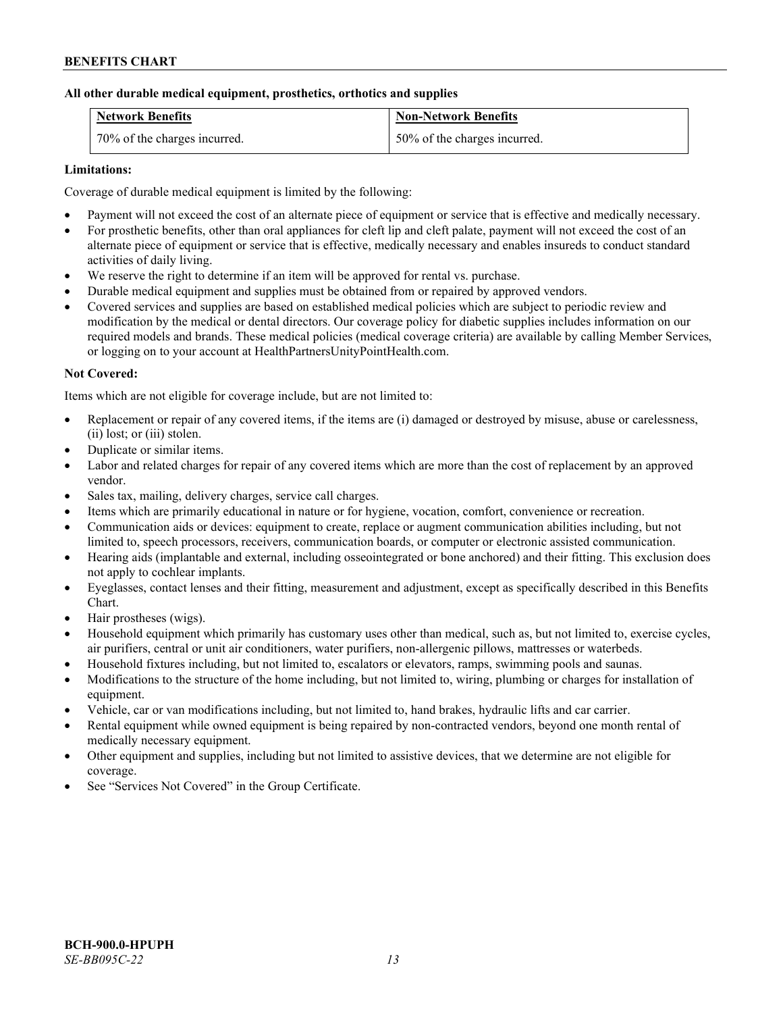# **All other durable medical equipment, prosthetics, orthotics and supplies**

| <b>Network Benefits</b>      | <b>Non-Network Benefits</b>  |
|------------------------------|------------------------------|
| 70% of the charges incurred. | 50% of the charges incurred. |

# **Limitations:**

Coverage of durable medical equipment is limited by the following:

- Payment will not exceed the cost of an alternate piece of equipment or service that is effective and medically necessary.
- For prosthetic benefits, other than oral appliances for cleft lip and cleft palate, payment will not exceed the cost of an alternate piece of equipment or service that is effective, medically necessary and enables insureds to conduct standard activities of daily living.
- We reserve the right to determine if an item will be approved for rental vs. purchase.
- Durable medical equipment and supplies must be obtained from or repaired by approved vendors.
- Covered services and supplies are based on established medical policies which are subject to periodic review and modification by the medical or dental directors. Our coverage policy for diabetic supplies includes information on our required models and brands. These medical policies (medical coverage criteria) are available by calling Member Services, or logging on to your account at [HealthPartnersUnityPointHealth.com.](https://www.healthpartnersunitypointhealth.com/)

#### **Not Covered:**

Items which are not eligible for coverage include, but are not limited to:

- Replacement or repair of any covered items, if the items are (i) damaged or destroyed by misuse, abuse or carelessness, (ii) lost; or (iii) stolen.
- Duplicate or similar items.
- Labor and related charges for repair of any covered items which are more than the cost of replacement by an approved vendor.
- Sales tax, mailing, delivery charges, service call charges.
- Items which are primarily educational in nature or for hygiene, vocation, comfort, convenience or recreation.
- Communication aids or devices: equipment to create, replace or augment communication abilities including, but not limited to, speech processors, receivers, communication boards, or computer or electronic assisted communication.
- Hearing aids (implantable and external, including osseointegrated or bone anchored) and their fitting. This exclusion does not apply to cochlear implants.
- Eyeglasses, contact lenses and their fitting, measurement and adjustment, except as specifically described in this Benefits Chart.
- Hair prostheses (wigs).
- Household equipment which primarily has customary uses other than medical, such as, but not limited to, exercise cycles, air purifiers, central or unit air conditioners, water purifiers, non-allergenic pillows, mattresses or waterbeds.
- Household fixtures including, but not limited to, escalators or elevators, ramps, swimming pools and saunas.
- Modifications to the structure of the home including, but not limited to, wiring, plumbing or charges for installation of equipment.
- Vehicle, car or van modifications including, but not limited to, hand brakes, hydraulic lifts and car carrier.
- Rental equipment while owned equipment is being repaired by non-contracted vendors, beyond one month rental of medically necessary equipment.
- Other equipment and supplies, including but not limited to assistive devices, that we determine are not eligible for coverage.
- See "Services Not Covered" in the Group Certificate.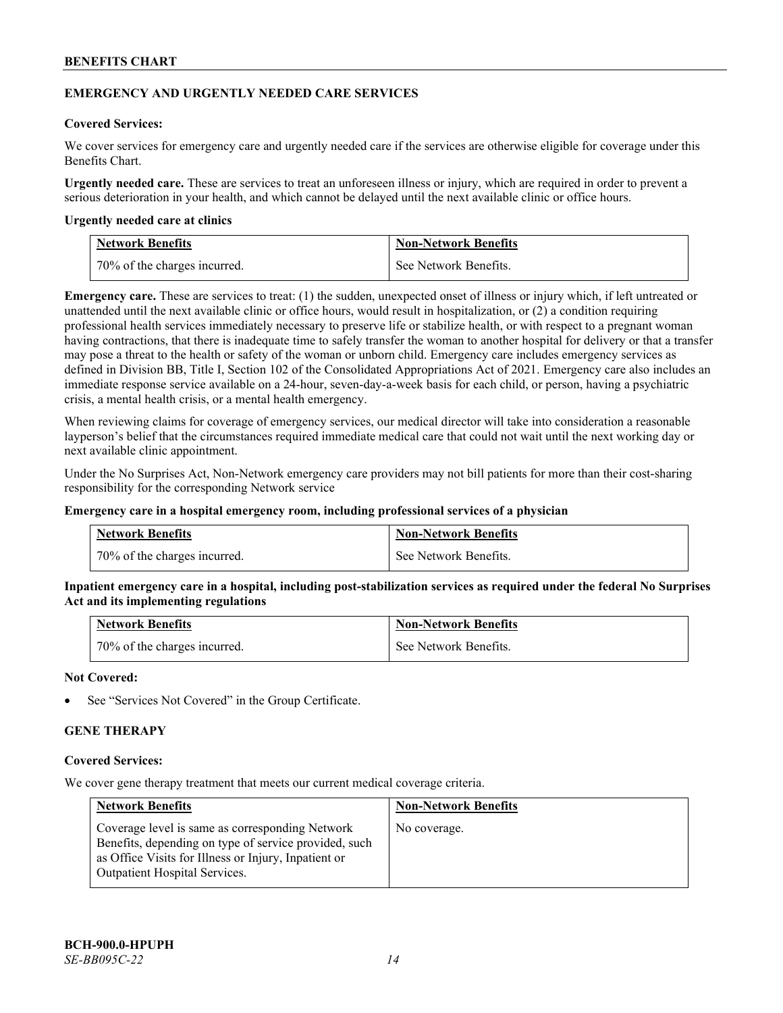# **EMERGENCY AND URGENTLY NEEDED CARE SERVICES**

# **Covered Services:**

We cover services for emergency care and urgently needed care if the services are otherwise eligible for coverage under this Benefits Chart.

**Urgently needed care.** These are services to treat an unforeseen illness or injury, which are required in order to prevent a serious deterioration in your health, and which cannot be delayed until the next available clinic or office hours.

#### **Urgently needed care at clinics**

| <b>Network Benefits</b>        | <b>Non-Network Benefits</b> |
|--------------------------------|-----------------------------|
| 1 70% of the charges incurred. | See Network Benefits.       |

**Emergency care.** These are services to treat: (1) the sudden, unexpected onset of illness or injury which, if left untreated or unattended until the next available clinic or office hours, would result in hospitalization, or (2) a condition requiring professional health services immediately necessary to preserve life or stabilize health, or with respect to a pregnant woman having contractions, that there is inadequate time to safely transfer the woman to another hospital for delivery or that a transfer may pose a threat to the health or safety of the woman or unborn child. Emergency care includes emergency services as defined in Division BB, Title I, Section 102 of the Consolidated Appropriations Act of 2021. Emergency care also includes an immediate response service available on a 24-hour, seven-day-a-week basis for each child, or person, having a psychiatric crisis, a mental health crisis, or a mental health emergency.

When reviewing claims for coverage of emergency services, our medical director will take into consideration a reasonable layperson's belief that the circumstances required immediate medical care that could not wait until the next working day or next available clinic appointment.

Under the No Surprises Act, Non-Network emergency care providers may not bill patients for more than their cost-sharing responsibility for the corresponding Network service

#### **Emergency care in a hospital emergency room, including professional services of a physician**

| <b>Network Benefits</b>      | <b>Non-Network Benefits</b> |
|------------------------------|-----------------------------|
| 70% of the charges incurred. | See Network Benefits.       |

**Inpatient emergency care in a hospital, including post-stabilization services as required under the federal No Surprises Act and its implementing regulations**

| Network Benefits             | <b>Non-Network Benefits</b> |
|------------------------------|-----------------------------|
| 70% of the charges incurred. | See Network Benefits.       |

#### **Not Covered:**

See "Services Not Covered" in the Group Certificate.

# **GENE THERAPY**

#### **Covered Services:**

We cover gene therapy treatment that meets our current medical coverage criteria.

| <b>Network Benefits</b>                                                                                                                                                                                  | <b>Non-Network Benefits</b> |
|----------------------------------------------------------------------------------------------------------------------------------------------------------------------------------------------------------|-----------------------------|
| Coverage level is same as corresponding Network<br>Benefits, depending on type of service provided, such<br>as Office Visits for Illness or Injury, Inpatient or<br><b>Outpatient Hospital Services.</b> | No coverage.                |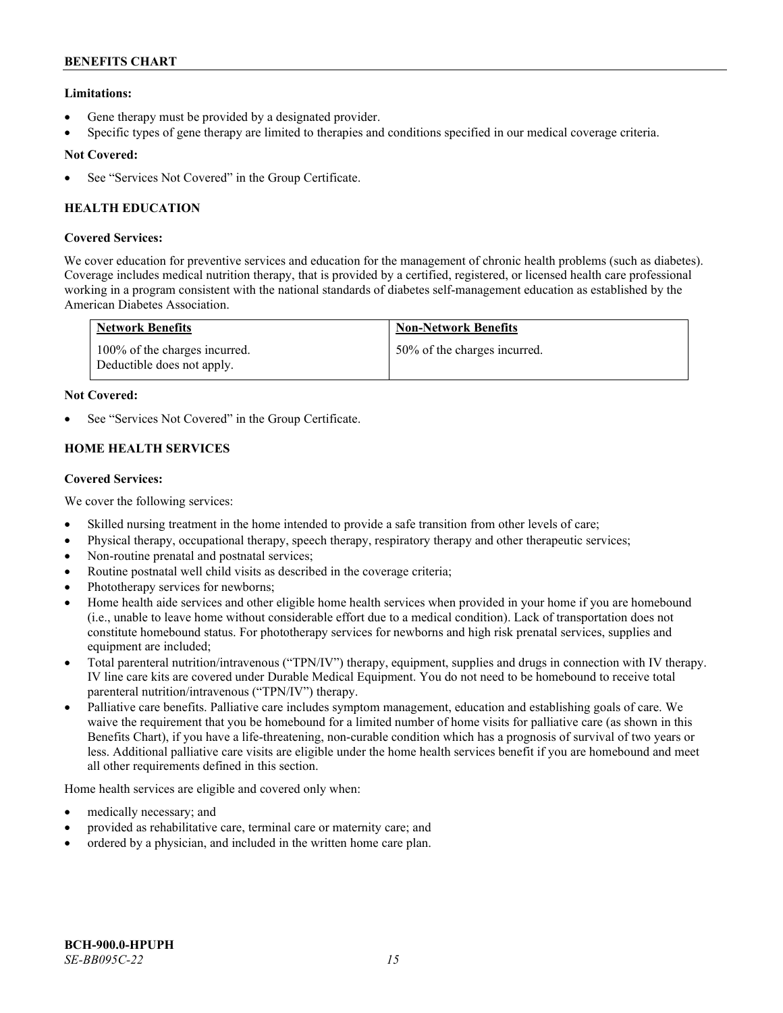# **Limitations:**

- Gene therapy must be provided by a designated provider.
- Specific types of gene therapy are limited to therapies and conditions specified in our medical coverage criteria.

# **Not Covered:**

See "Services Not Covered" in the Group Certificate.

# **HEALTH EDUCATION**

# **Covered Services:**

We cover education for preventive services and education for the management of chronic health problems (such as diabetes). Coverage includes medical nutrition therapy, that is provided by a certified, registered, or licensed health care professional working in a program consistent with the national standards of diabetes self-management education as established by the American Diabetes Association.

| <b>Network Benefits</b>                                     | <b>Non-Network Benefits</b>  |
|-------------------------------------------------------------|------------------------------|
| 100% of the charges incurred.<br>Deductible does not apply. | 50% of the charges incurred. |

# **Not Covered:**

See "Services Not Covered" in the Group Certificate.

# **HOME HEALTH SERVICES**

# **Covered Services:**

We cover the following services:

- Skilled nursing treatment in the home intended to provide a safe transition from other levels of care;
- Physical therapy, occupational therapy, speech therapy, respiratory therapy and other therapeutic services;
- Non-routine prenatal and postnatal services;
- Routine postnatal well child visits as described in the coverage criteria;
- Phototherapy services for newborns;
- Home health aide services and other eligible home health services when provided in your home if you are homebound (i.e., unable to leave home without considerable effort due to a medical condition). Lack of transportation does not constitute homebound status. For phototherapy services for newborns and high risk prenatal services, supplies and equipment are included;
- Total parenteral nutrition/intravenous ("TPN/IV") therapy, equipment, supplies and drugs in connection with IV therapy. IV line care kits are covered under Durable Medical Equipment. You do not need to be homebound to receive total parenteral nutrition/intravenous ("TPN/IV") therapy.
- Palliative care benefits. Palliative care includes symptom management, education and establishing goals of care. We waive the requirement that you be homebound for a limited number of home visits for palliative care (as shown in this Benefits Chart), if you have a life-threatening, non-curable condition which has a prognosis of survival of two years or less. Additional palliative care visits are eligible under the home health services benefit if you are homebound and meet all other requirements defined in this section.

Home health services are eligible and covered only when:

- medically necessary; and
- provided as rehabilitative care, terminal care or maternity care; and
- ordered by a physician, and included in the written home care plan.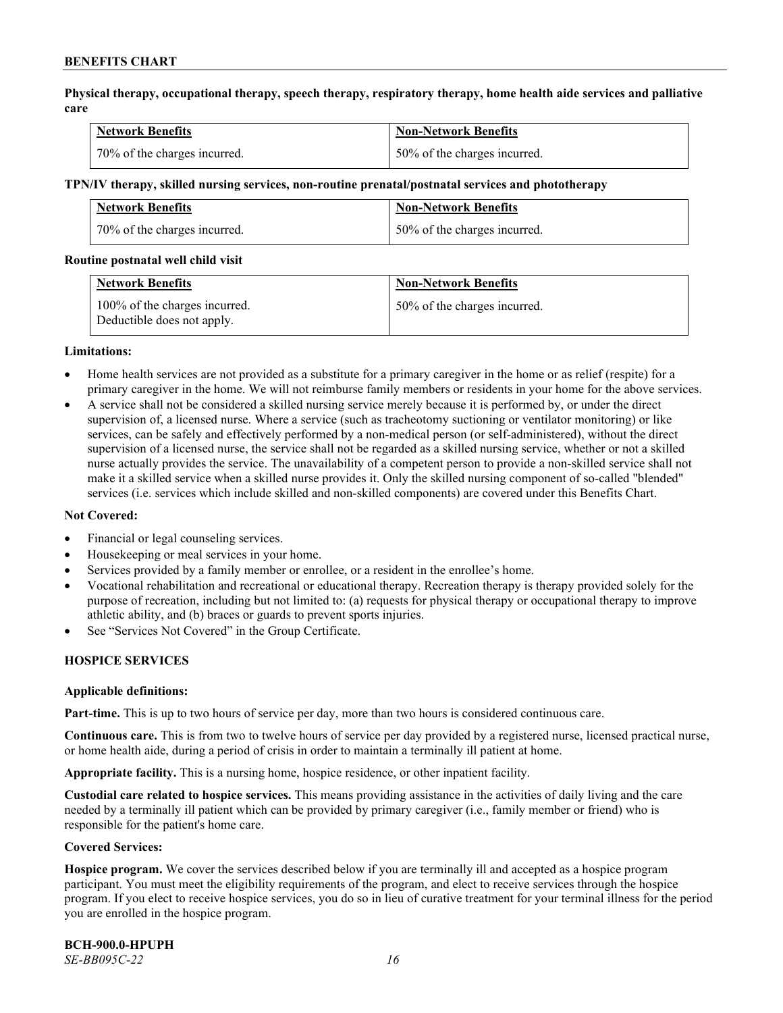**Physical therapy, occupational therapy, speech therapy, respiratory therapy, home health aide services and palliative care**

| <b>Network Benefits</b>      | <b>Non-Network Benefits</b>  |
|------------------------------|------------------------------|
| 70% of the charges incurred. | 50% of the charges incurred. |

#### **TPN/IV therapy, skilled nursing services, non-routine prenatal/postnatal services and phototherapy**

| <b>Network Benefits</b>      | <b>Non-Network Benefits</b>  |
|------------------------------|------------------------------|
| 70% of the charges incurred. | 50% of the charges incurred. |

#### **Routine postnatal well child visit**

| <b>Network Benefits</b>                                     | <b>Non-Network Benefits</b>  |
|-------------------------------------------------------------|------------------------------|
| 100% of the charges incurred.<br>Deductible does not apply. | 50% of the charges incurred. |

#### **Limitations:**

- Home health services are not provided as a substitute for a primary caregiver in the home or as relief (respite) for a primary caregiver in the home. We will not reimburse family members or residents in your home for the above services.
- A service shall not be considered a skilled nursing service merely because it is performed by, or under the direct supervision of, a licensed nurse. Where a service (such as tracheotomy suctioning or ventilator monitoring) or like services, can be safely and effectively performed by a non-medical person (or self-administered), without the direct supervision of a licensed nurse, the service shall not be regarded as a skilled nursing service, whether or not a skilled nurse actually provides the service. The unavailability of a competent person to provide a non-skilled service shall not make it a skilled service when a skilled nurse provides it. Only the skilled nursing component of so-called "blended" services (i.e. services which include skilled and non-skilled components) are covered under this Benefits Chart.

#### **Not Covered:**

- Financial or legal counseling services.
- Housekeeping or meal services in your home.
- Services provided by a family member or enrollee, or a resident in the enrollee's home.
- Vocational rehabilitation and recreational or educational therapy. Recreation therapy is therapy provided solely for the purpose of recreation, including but not limited to: (a) requests for physical therapy or occupational therapy to improve athletic ability, and (b) braces or guards to prevent sports injuries.
- See "Services Not Covered" in the Group Certificate.

# **HOSPICE SERVICES**

#### **Applicable definitions:**

**Part-time.** This is up to two hours of service per day, more than two hours is considered continuous care.

**Continuous care.** This is from two to twelve hours of service per day provided by a registered nurse, licensed practical nurse, or home health aide, during a period of crisis in order to maintain a terminally ill patient at home.

**Appropriate facility.** This is a nursing home, hospice residence, or other inpatient facility.

**Custodial care related to hospice services.** This means providing assistance in the activities of daily living and the care needed by a terminally ill patient which can be provided by primary caregiver (i.e., family member or friend) who is responsible for the patient's home care.

#### **Covered Services:**

**Hospice program.** We cover the services described below if you are terminally ill and accepted as a hospice program participant. You must meet the eligibility requirements of the program, and elect to receive services through the hospice program. If you elect to receive hospice services, you do so in lieu of curative treatment for your terminal illness for the period you are enrolled in the hospice program.

**BCH-900.0-HPUPH** *SE-BB095C-22 16*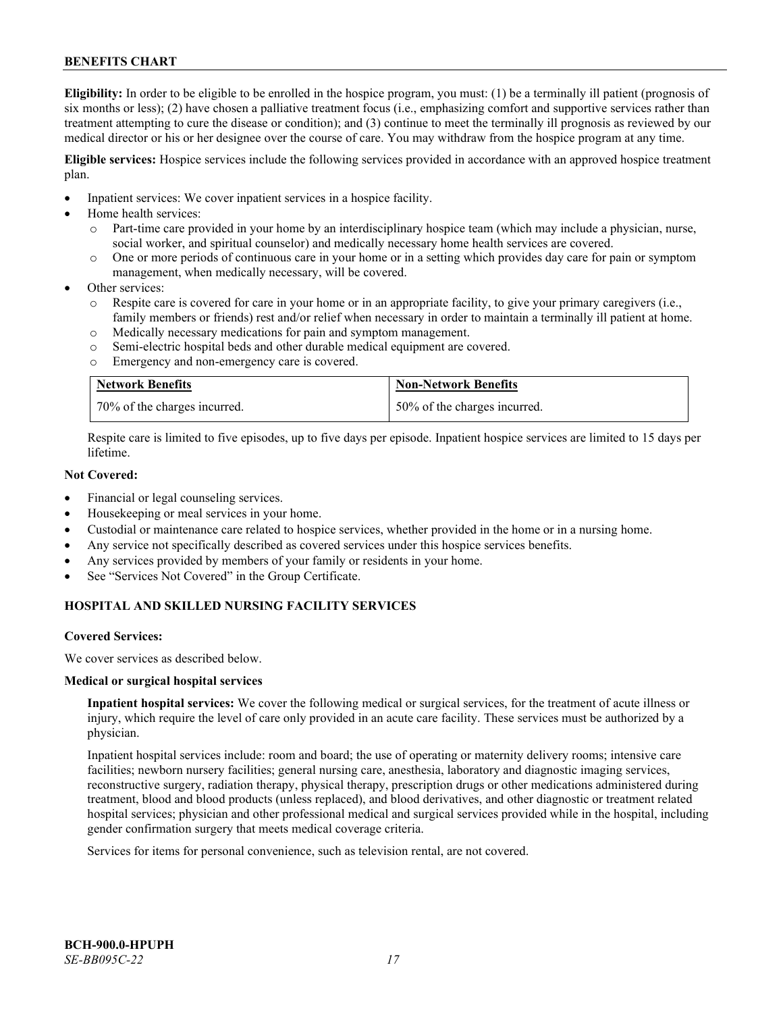**Eligibility:** In order to be eligible to be enrolled in the hospice program, you must: (1) be a terminally ill patient (prognosis of six months or less); (2) have chosen a palliative treatment focus (i.e., emphasizing comfort and supportive services rather than treatment attempting to cure the disease or condition); and (3) continue to meet the terminally ill prognosis as reviewed by our medical director or his or her designee over the course of care. You may withdraw from the hospice program at any time.

**Eligible services:** Hospice services include the following services provided in accordance with an approved hospice treatment plan.

- Inpatient services: We cover inpatient services in a hospice facility.
- Home health services:
	- o Part-time care provided in your home by an interdisciplinary hospice team (which may include a physician, nurse, social worker, and spiritual counselor) and medically necessary home health services are covered.
	- o One or more periods of continuous care in your home or in a setting which provides day care for pain or symptom management, when medically necessary, will be covered.
- Other services:
	- Respite care is covered for care in your home or in an appropriate facility, to give your primary caregivers (i.e., family members or friends) rest and/or relief when necessary in order to maintain a terminally ill patient at home.
	- o Medically necessary medications for pain and symptom management.
	- o Semi-electric hospital beds and other durable medical equipment are covered.
	- o Emergency and non-emergency care is covered.

| <b>Network Benefits</b>      | <b>Non-Network Benefits</b>  |
|------------------------------|------------------------------|
| 70% of the charges incurred. | 50% of the charges incurred. |

Respite care is limited to five episodes, up to five days per episode. Inpatient hospice services are limited to 15 days per lifetime.

# **Not Covered:**

- Financial or legal counseling services.
- Housekeeping or meal services in your home.
- Custodial or maintenance care related to hospice services, whether provided in the home or in a nursing home.
- Any service not specifically described as covered services under this hospice services benefits.
- Any services provided by members of your family or residents in your home.
- See "Services Not Covered" in the Group Certificate.

# **HOSPITAL AND SKILLED NURSING FACILITY SERVICES**

#### **Covered Services:**

We cover services as described below.

#### **Medical or surgical hospital services**

**Inpatient hospital services:** We cover the following medical or surgical services, for the treatment of acute illness or injury, which require the level of care only provided in an acute care facility. These services must be authorized by a physician.

Inpatient hospital services include: room and board; the use of operating or maternity delivery rooms; intensive care facilities; newborn nursery facilities; general nursing care, anesthesia, laboratory and diagnostic imaging services, reconstructive surgery, radiation therapy, physical therapy, prescription drugs or other medications administered during treatment, blood and blood products (unless replaced), and blood derivatives, and other diagnostic or treatment related hospital services; physician and other professional medical and surgical services provided while in the hospital, including gender confirmation surgery that meets medical coverage criteria.

Services for items for personal convenience, such as television rental, are not covered.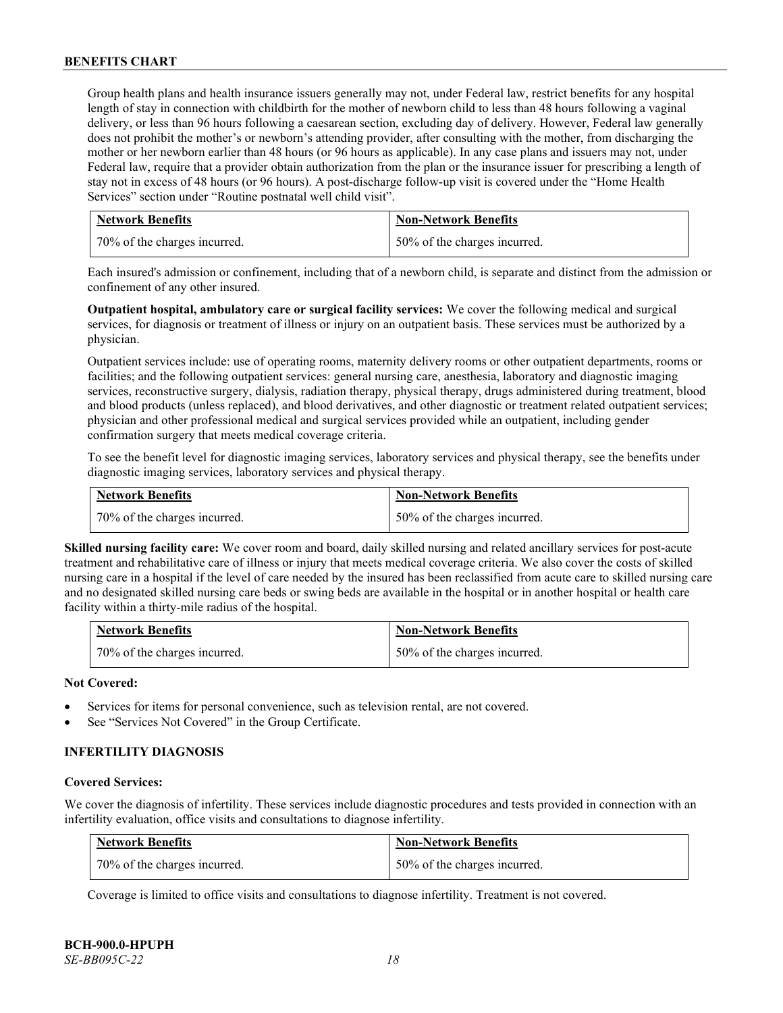Group health plans and health insurance issuers generally may not, under Federal law, restrict benefits for any hospital length of stay in connection with childbirth for the mother of newborn child to less than 48 hours following a vaginal delivery, or less than 96 hours following a caesarean section, excluding day of delivery. However, Federal law generally does not prohibit the mother's or newborn's attending provider, after consulting with the mother, from discharging the mother or her newborn earlier than 48 hours (or 96 hours as applicable). In any case plans and issuers may not, under Federal law, require that a provider obtain authorization from the plan or the insurance issuer for prescribing a length of stay not in excess of 48 hours (or 96 hours). A post-discharge follow-up visit is covered under the "Home Health Services" section under "Routine postnatal well child visit".

| <b>Network Benefits</b>      | <b>Non-Network Benefits</b>  |
|------------------------------|------------------------------|
| 70% of the charges incurred. | 50% of the charges incurred. |

Each insured's admission or confinement, including that of a newborn child, is separate and distinct from the admission or confinement of any other insured.

**Outpatient hospital, ambulatory care or surgical facility services:** We cover the following medical and surgical services, for diagnosis or treatment of illness or injury on an outpatient basis. These services must be authorized by a physician.

Outpatient services include: use of operating rooms, maternity delivery rooms or other outpatient departments, rooms or facilities; and the following outpatient services: general nursing care, anesthesia, laboratory and diagnostic imaging services, reconstructive surgery, dialysis, radiation therapy, physical therapy, drugs administered during treatment, blood and blood products (unless replaced), and blood derivatives, and other diagnostic or treatment related outpatient services; physician and other professional medical and surgical services provided while an outpatient, including gender confirmation surgery that meets medical coverage criteria.

To see the benefit level for diagnostic imaging services, laboratory services and physical therapy, see the benefits under diagnostic imaging services, laboratory services and physical therapy.

| <b>Network Benefits</b>      | <b>Non-Network Benefits</b>  |
|------------------------------|------------------------------|
| 70% of the charges incurred. | 50% of the charges incurred. |

**Skilled nursing facility care:** We cover room and board, daily skilled nursing and related ancillary services for post-acute treatment and rehabilitative care of illness or injury that meets medical coverage criteria. We also cover the costs of skilled nursing care in a hospital if the level of care needed by the insured has been reclassified from acute care to skilled nursing care and no designated skilled nursing care beds or swing beds are available in the hospital or in another hospital or health care facility within a thirty-mile radius of the hospital.

| Network Benefits             | <b>Non-Network Benefits</b>  |
|------------------------------|------------------------------|
| 70% of the charges incurred. | 50% of the charges incurred. |

# **Not Covered:**

- Services for items for personal convenience, such as television rental, are not covered.
- See "Services Not Covered" in the Group Certificate.

# **INFERTILITY DIAGNOSIS**

#### **Covered Services:**

We cover the diagnosis of infertility. These services include diagnostic procedures and tests provided in connection with an infertility evaluation, office visits and consultations to diagnose infertility.

| <b>Network Benefits</b>      | <b>Non-Network Benefits</b>  |
|------------------------------|------------------------------|
| 70% of the charges incurred. | 50% of the charges incurred. |

Coverage is limited to office visits and consultations to diagnose infertility. Treatment is not covered.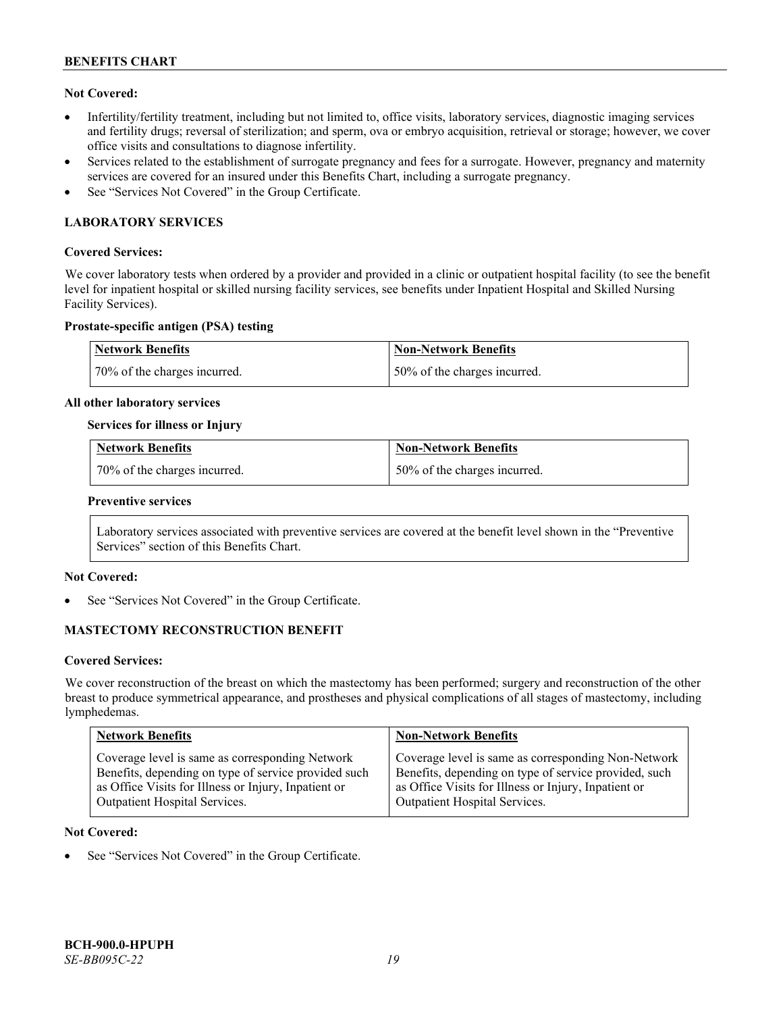# **Not Covered:**

- Infertility/fertility treatment, including but not limited to, office visits, laboratory services, diagnostic imaging services and fertility drugs; reversal of sterilization; and sperm, ova or embryo acquisition, retrieval or storage; however, we cover office visits and consultations to diagnose infertility.
- Services related to the establishment of surrogate pregnancy and fees for a surrogate. However, pregnancy and maternity services are covered for an insured under this Benefits Chart, including a surrogate pregnancy.
- See "Services Not Covered" in the Group Certificate.

# **LABORATORY SERVICES**

### **Covered Services:**

We cover laboratory tests when ordered by a provider and provided in a clinic or outpatient hospital facility (to see the benefit level for inpatient hospital or skilled nursing facility services, see benefits under Inpatient Hospital and Skilled Nursing Facility Services).

# **Prostate-specific antigen (PSA) testing**

| <b>Network Benefits</b>      | Non-Network Benefits          |
|------------------------------|-------------------------------|
| 70% of the charges incurred. | 150% of the charges incurred. |

#### **All other laboratory services**

#### **Services for illness or Injury**

| <b>Network Benefits</b>        | <b>Non-Network Benefits</b>  |
|--------------------------------|------------------------------|
| 1 70% of the charges incurred. | 50% of the charges incurred. |

#### **Preventive services**

Laboratory services associated with preventive services are covered at the benefit level shown in the "Preventive Services" section of this Benefits Chart.

# **Not Covered:**

See "Services Not Covered" in the Group Certificate.

# **MASTECTOMY RECONSTRUCTION BENEFIT**

#### **Covered Services:**

We cover reconstruction of the breast on which the mastectomy has been performed; surgery and reconstruction of the other breast to produce symmetrical appearance, and prostheses and physical complications of all stages of mastectomy, including lymphedemas.

| <b>Network Benefits</b>                              | <b>Non-Network Benefits</b>                           |
|------------------------------------------------------|-------------------------------------------------------|
| Coverage level is same as corresponding Network      | Coverage level is same as corresponding Non-Network   |
| Benefits, depending on type of service provided such | Benefits, depending on type of service provided, such |
| as Office Visits for Illness or Injury, Inpatient or | as Office Visits for Illness or Injury, Inpatient or  |
| Outpatient Hospital Services.                        | Outpatient Hospital Services.                         |

### **Not Covered:**

See "Services Not Covered" in the Group Certificate.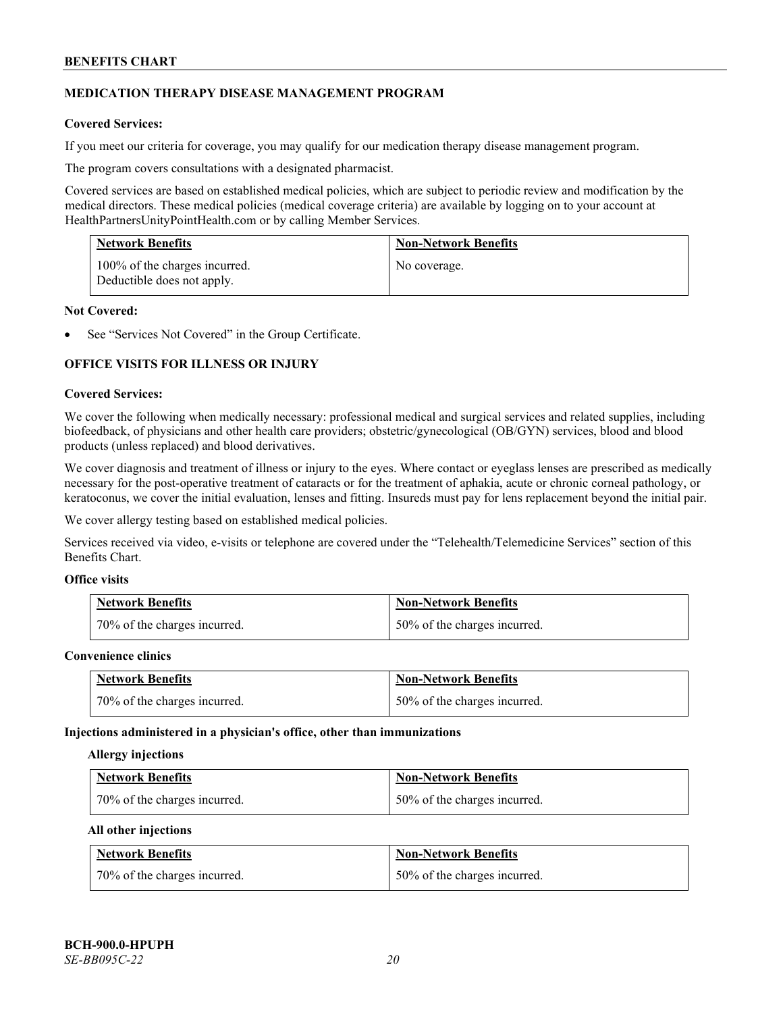# **MEDICATION THERAPY DISEASE MANAGEMENT PROGRAM**

# **Covered Services:**

If you meet our criteria for coverage, you may qualify for our medication therapy disease management program.

The program covers consultations with a designated pharmacist.

Covered services are based on established medical policies, which are subject to periodic review and modification by the medical directors. These medical policies (medical coverage criteria) are available by logging on to your account at [HealthPartnersUnityPointHealth.com](https://www.healthpartnersunitypointhealth.com/) or by calling Member Services.

| <b>Network Benefits</b>                                     | <b>Non-Network Benefits</b> |
|-------------------------------------------------------------|-----------------------------|
| 100% of the charges incurred.<br>Deductible does not apply. | No coverage.                |

# **Not Covered:**

See "Services Not Covered" in the Group Certificate.

# **OFFICE VISITS FOR ILLNESS OR INJURY**

#### **Covered Services:**

We cover the following when medically necessary: professional medical and surgical services and related supplies, including biofeedback, of physicians and other health care providers; obstetric/gynecological (OB/GYN) services, blood and blood products (unless replaced) and blood derivatives.

We cover diagnosis and treatment of illness or injury to the eyes. Where contact or eyeglass lenses are prescribed as medically necessary for the post-operative treatment of cataracts or for the treatment of aphakia, acute or chronic corneal pathology, or keratoconus, we cover the initial evaluation, lenses and fitting. Insureds must pay for lens replacement beyond the initial pair.

We cover allergy testing based on established medical policies.

Services received via video, e-visits or telephone are covered under the "Telehealth/Telemedicine Services" section of this Benefits Chart.

# **Office visits**

| <b>Network Benefits</b>      | <b>Non-Network Benefits</b>  |
|------------------------------|------------------------------|
| 70% of the charges incurred. | 50% of the charges incurred. |

#### **Convenience clinics**

| <b>Network Benefits</b>      | <b>Non-Network Benefits</b>  |
|------------------------------|------------------------------|
| 70% of the charges incurred. | 50% of the charges incurred. |

#### **Injections administered in a physician's office, other than immunizations**

#### **Allergy injections**

| <b>Network Benefits</b>      | <b>Non-Network Benefits</b>  |
|------------------------------|------------------------------|
| 70% of the charges incurred. | 50% of the charges incurred. |

#### **All other injections**

| <b>Network Benefits</b>      | <b>Non-Network Benefits</b>  |
|------------------------------|------------------------------|
| 70% of the charges incurred. | 50% of the charges incurred. |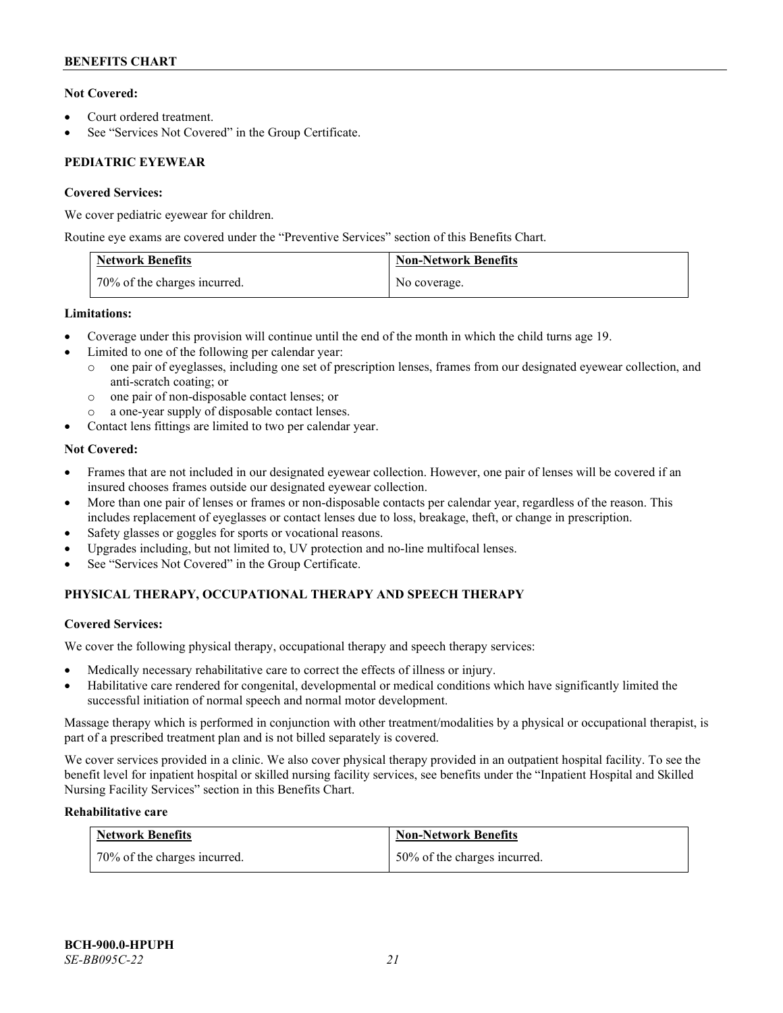# **Not Covered:**

- Court ordered treatment.
- See "Services Not Covered" in the Group Certificate.

# **PEDIATRIC EYEWEAR**

# **Covered Services:**

We cover pediatric eyewear for children.

Routine eye exams are covered under the "Preventive Services" section of this Benefits Chart.

| <b>Network Benefits</b>      | <b>Non-Network Benefits</b> |
|------------------------------|-----------------------------|
| 70% of the charges incurred. | No coverage.                |

# **Limitations:**

- Coverage under this provision will continue until the end of the month in which the child turns age 19.
- Limited to one of the following per calendar year:
	- o one pair of eyeglasses, including one set of prescription lenses, frames from our designated eyewear collection, and anti-scratch coating; or
	- o one pair of non-disposable contact lenses; or
	- a one-year supply of disposable contact lenses.
- Contact lens fittings are limited to two per calendar year.

# **Not Covered:**

- Frames that are not included in our designated eyewear collection. However, one pair of lenses will be covered if an insured chooses frames outside our designated eyewear collection.
- More than one pair of lenses or frames or non-disposable contacts per calendar year, regardless of the reason. This includes replacement of eyeglasses or contact lenses due to loss, breakage, theft, or change in prescription.
- Safety glasses or goggles for sports or vocational reasons.
- Upgrades including, but not limited to, UV protection and no-line multifocal lenses.
- See "Services Not Covered" in the Group Certificate.

# **PHYSICAL THERAPY, OCCUPATIONAL THERAPY AND SPEECH THERAPY**

# **Covered Services:**

We cover the following physical therapy, occupational therapy and speech therapy services:

- Medically necessary rehabilitative care to correct the effects of illness or injury.
- Habilitative care rendered for congenital, developmental or medical conditions which have significantly limited the successful initiation of normal speech and normal motor development.

Massage therapy which is performed in conjunction with other treatment/modalities by a physical or occupational therapist, is part of a prescribed treatment plan and is not billed separately is covered.

We cover services provided in a clinic. We also cover physical therapy provided in an outpatient hospital facility. To see the benefit level for inpatient hospital or skilled nursing facility services, see benefits under the "Inpatient Hospital and Skilled Nursing Facility Services" section in this Benefits Chart.

# **Rehabilitative care**

| <b>Network Benefits</b>      | <b>Non-Network Benefits</b>  |
|------------------------------|------------------------------|
| 70% of the charges incurred. | 50% of the charges incurred. |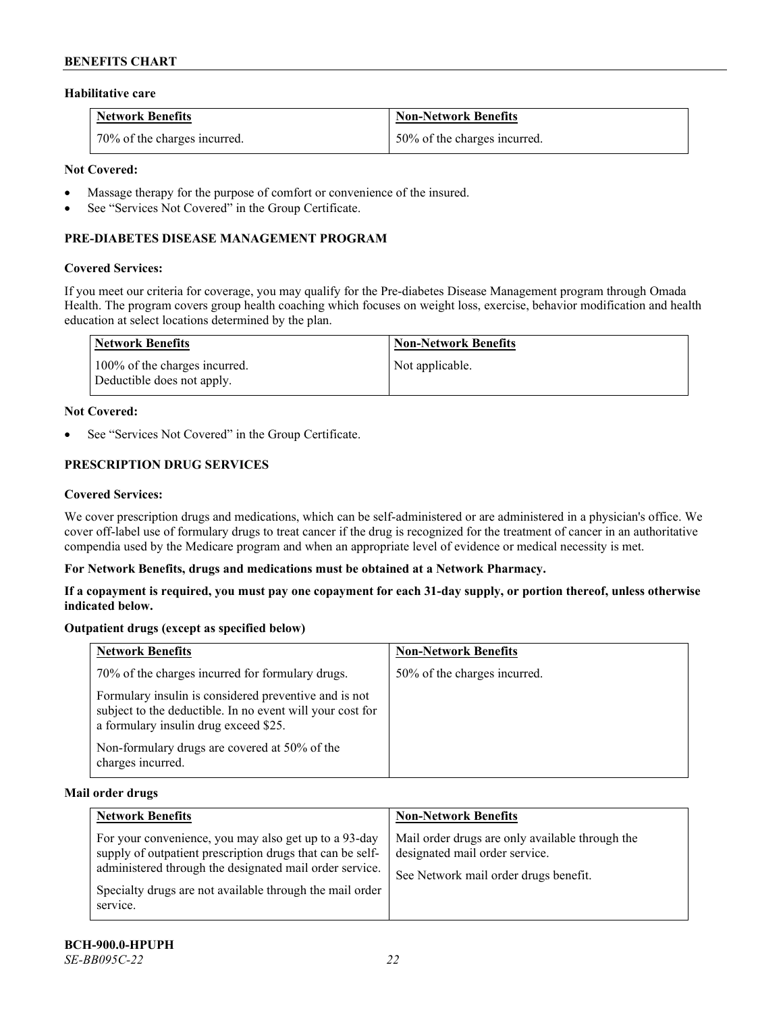### **Habilitative care**

| <b>Network Benefits</b>      | Non-Network Benefits         |
|------------------------------|------------------------------|
| 70% of the charges incurred. | 50% of the charges incurred. |

# **Not Covered:**

- Massage therapy for the purpose of comfort or convenience of the insured.
- See "Services Not Covered" in the Group Certificate.

# **PRE-DIABETES DISEASE MANAGEMENT PROGRAM**

#### **Covered Services:**

If you meet our criteria for coverage, you may qualify for the Pre-diabetes Disease Management program through Omada Health. The program covers group health coaching which focuses on weight loss, exercise, behavior modification and health education at select locations determined by the plan.

| Network Benefits                                            | <b>Non-Network Benefits</b> |
|-------------------------------------------------------------|-----------------------------|
| 100% of the charges incurred.<br>Deductible does not apply. | Not applicable.             |

#### **Not Covered:**

See "Services Not Covered" in the Group Certificate.

# **PRESCRIPTION DRUG SERVICES**

#### **Covered Services:**

We cover prescription drugs and medications, which can be self-administered or are administered in a physician's office. We cover off-label use of formulary drugs to treat cancer if the drug is recognized for the treatment of cancer in an authoritative compendia used by the Medicare program and when an appropriate level of evidence or medical necessity is met.

# **For Network Benefits, drugs and medications must be obtained at a Network Pharmacy.**

**If a copayment is required, you must pay one copayment for each 31-day supply, or portion thereof, unless otherwise indicated below.**

# **Outpatient drugs (except as specified below)**

| <b>Network Benefits</b>                                                                                                                                     | <b>Non-Network Benefits</b>  |
|-------------------------------------------------------------------------------------------------------------------------------------------------------------|------------------------------|
| 70% of the charges incurred for formulary drugs.                                                                                                            | 50% of the charges incurred. |
| Formulary insulin is considered preventive and is not<br>subject to the deductible. In no event will your cost for<br>a formulary insulin drug exceed \$25. |                              |
| Non-formulary drugs are covered at 50% of the<br>charges incurred.                                                                                          |                              |

#### **Mail order drugs**

| <b>Network Benefits</b>                                                                                                                                                                                                                               | <b>Non-Network Benefits</b>                                                                                                |
|-------------------------------------------------------------------------------------------------------------------------------------------------------------------------------------------------------------------------------------------------------|----------------------------------------------------------------------------------------------------------------------------|
| For your convenience, you may also get up to a 93-day<br>supply of outpatient prescription drugs that can be self-<br>administered through the designated mail order service.<br>Specialty drugs are not available through the mail order<br>service. | Mail order drugs are only available through the<br>designated mail order service.<br>See Network mail order drugs benefit. |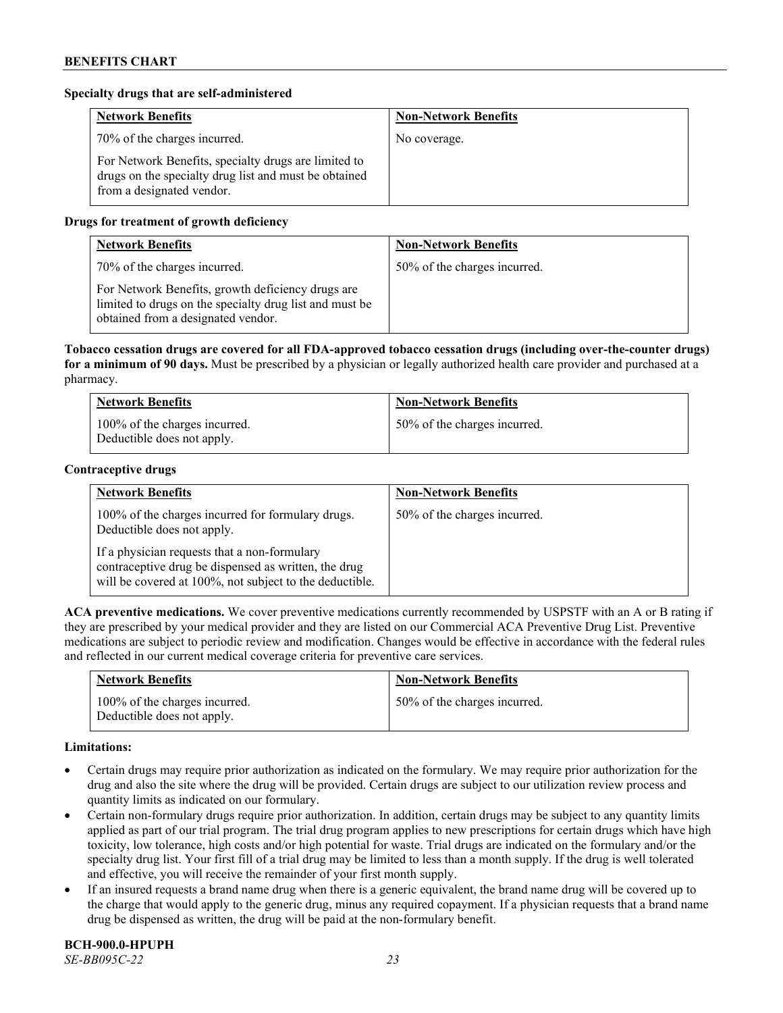# **Specialty drugs that are self-administered**

| <b>Network Benefits</b>                                                                                                                    | <b>Non-Network Benefits</b> |
|--------------------------------------------------------------------------------------------------------------------------------------------|-----------------------------|
| 70% of the charges incurred.                                                                                                               | No coverage.                |
| For Network Benefits, specialty drugs are limited to<br>drugs on the specialty drug list and must be obtained<br>from a designated vendor. |                             |

# **Drugs for treatment of growth deficiency**

| <b>Network Benefits</b>                                                                                                                            | <b>Non-Network Benefits</b>  |
|----------------------------------------------------------------------------------------------------------------------------------------------------|------------------------------|
| 70% of the charges incurred.                                                                                                                       | 50% of the charges incurred. |
| For Network Benefits, growth deficiency drugs are<br>limited to drugs on the specialty drug list and must be<br>obtained from a designated vendor. |                              |

**Tobacco cessation drugs are covered for all FDA-approved tobacco cessation drugs (including over-the-counter drugs) for a minimum of 90 days.** Must be prescribed by a physician or legally authorized health care provider and purchased at a pharmacy.

| <b>Network Benefits</b>                                     | <b>Non-Network Benefits</b>  |
|-------------------------------------------------------------|------------------------------|
| 100% of the charges incurred.<br>Deductible does not apply. | 50% of the charges incurred. |

#### **Contraceptive drugs**

| <b>Network Benefits</b>                                                                                                                                         | <b>Non-Network Benefits</b>  |
|-----------------------------------------------------------------------------------------------------------------------------------------------------------------|------------------------------|
| 100% of the charges incurred for formulary drugs.<br>Deductible does not apply.                                                                                 | 50% of the charges incurred. |
| If a physician requests that a non-formulary<br>contraceptive drug be dispensed as written, the drug<br>will be covered at 100%, not subject to the deductible. |                              |

**ACA preventive medications.** We cover preventive medications currently recommended by USPSTF with an A or B rating if they are prescribed by your medical provider and they are listed on our Commercial ACA Preventive Drug List. Preventive medications are subject to periodic review and modification. Changes would be effective in accordance with the federal rules and reflected in our current medical coverage criteria for preventive care services.

| <b>Network Benefits</b>                                     | <b>Non-Network Benefits</b>  |
|-------------------------------------------------------------|------------------------------|
| 100% of the charges incurred.<br>Deductible does not apply. | 50% of the charges incurred. |

# **Limitations:**

- Certain drugs may require prior authorization as indicated on the formulary. We may require prior authorization for the drug and also the site where the drug will be provided. Certain drugs are subject to our utilization review process and quantity limits as indicated on our formulary.
- Certain non-formulary drugs require prior authorization. In addition, certain drugs may be subject to any quantity limits applied as part of our trial program. The trial drug program applies to new prescriptions for certain drugs which have high toxicity, low tolerance, high costs and/or high potential for waste. Trial drugs are indicated on the formulary and/or the specialty drug list. Your first fill of a trial drug may be limited to less than a month supply. If the drug is well tolerated and effective, you will receive the remainder of your first month supply.
- If an insured requests a brand name drug when there is a generic equivalent, the brand name drug will be covered up to the charge that would apply to the generic drug, minus any required copayment. If a physician requests that a brand name drug be dispensed as written, the drug will be paid at the non-formulary benefit.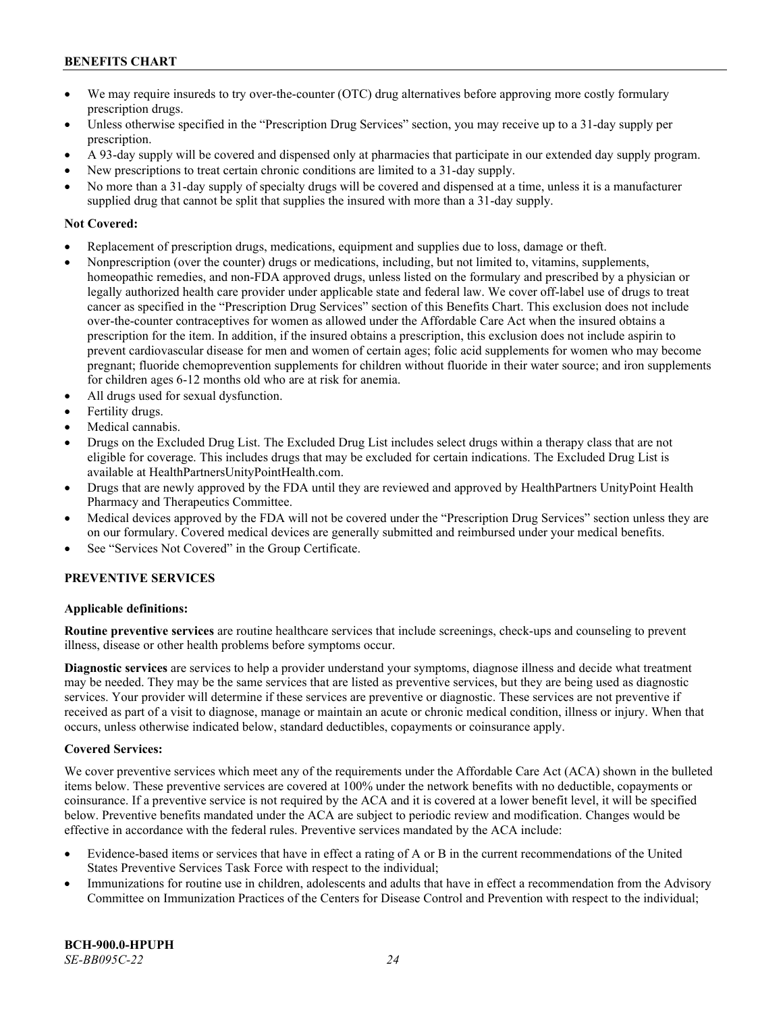- We may require insureds to try over-the-counter (OTC) drug alternatives before approving more costly formulary prescription drugs.
- Unless otherwise specified in the "Prescription Drug Services" section, you may receive up to a 31-day supply per prescription.
- A 93-day supply will be covered and dispensed only at pharmacies that participate in our extended day supply program.
- New prescriptions to treat certain chronic conditions are limited to a 31-day supply.
- No more than a 31-day supply of specialty drugs will be covered and dispensed at a time, unless it is a manufacturer supplied drug that cannot be split that supplies the insured with more than a 31-day supply.

# **Not Covered:**

- Replacement of prescription drugs, medications, equipment and supplies due to loss, damage or theft.
- Nonprescription (over the counter) drugs or medications, including, but not limited to, vitamins, supplements, homeopathic remedies, and non-FDA approved drugs, unless listed on the formulary and prescribed by a physician or legally authorized health care provider under applicable state and federal law. We cover off-label use of drugs to treat cancer as specified in the "Prescription Drug Services" section of this Benefits Chart. This exclusion does not include over-the-counter contraceptives for women as allowed under the Affordable Care Act when the insured obtains a prescription for the item. In addition, if the insured obtains a prescription, this exclusion does not include aspirin to prevent cardiovascular disease for men and women of certain ages; folic acid supplements for women who may become pregnant; fluoride chemoprevention supplements for children without fluoride in their water source; and iron supplements for children ages 6-12 months old who are at risk for anemia.
- All drugs used for sexual dysfunction.
- Fertility drugs.
- Medical cannabis.
- Drugs on the Excluded Drug List. The Excluded Drug List includes select drugs within a therapy class that are not eligible for coverage. This includes drugs that may be excluded for certain indications. The Excluded Drug List is available a[t HealthPartnersUnityPointHealth.com.](https://www.healthpartnersunitypointhealth.com/)
- Drugs that are newly approved by the FDA until they are reviewed and approved by HealthPartners UnityPoint Health Pharmacy and Therapeutics Committee.
- Medical devices approved by the FDA will not be covered under the "Prescription Drug Services" section unless they are on our formulary. Covered medical devices are generally submitted and reimbursed under your medical benefits.
- See "Services Not Covered" in the Group Certificate.

# **PREVENTIVE SERVICES**

# **Applicable definitions:**

**Routine preventive services** are routine healthcare services that include screenings, check-ups and counseling to prevent illness, disease or other health problems before symptoms occur.

**Diagnostic services** are services to help a provider understand your symptoms, diagnose illness and decide what treatment may be needed. They may be the same services that are listed as preventive services, but they are being used as diagnostic services. Your provider will determine if these services are preventive or diagnostic. These services are not preventive if received as part of a visit to diagnose, manage or maintain an acute or chronic medical condition, illness or injury. When that occurs, unless otherwise indicated below, standard deductibles, copayments or coinsurance apply.

# **Covered Services:**

We cover preventive services which meet any of the requirements under the Affordable Care Act (ACA) shown in the bulleted items below. These preventive services are covered at 100% under the network benefits with no deductible, copayments or coinsurance. If a preventive service is not required by the ACA and it is covered at a lower benefit level, it will be specified below. Preventive benefits mandated under the ACA are subject to periodic review and modification. Changes would be effective in accordance with the federal rules. Preventive services mandated by the ACA include:

- Evidence-based items or services that have in effect a rating of A or B in the current recommendations of the United States Preventive Services Task Force with respect to the individual;
- Immunizations for routine use in children, adolescents and adults that have in effect a recommendation from the Advisory Committee on Immunization Practices of the Centers for Disease Control and Prevention with respect to the individual;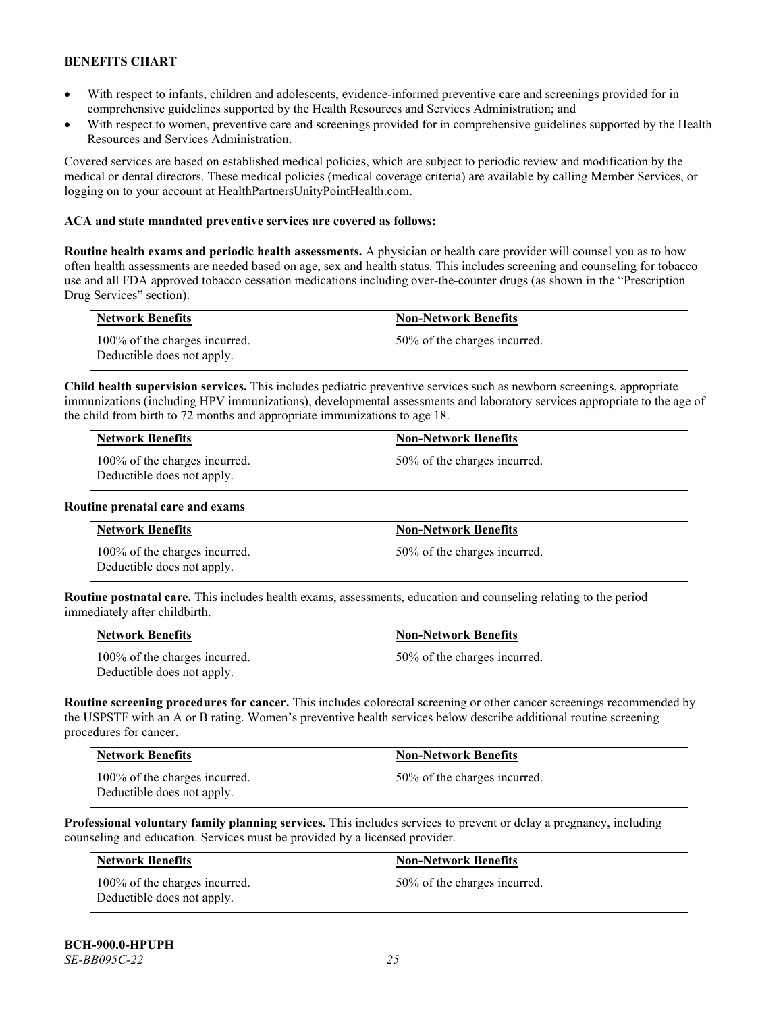- With respect to infants, children and adolescents, evidence-informed preventive care and screenings provided for in comprehensive guidelines supported by the Health Resources and Services Administration; and
- With respect to women, preventive care and screenings provided for in comprehensive guidelines supported by the Health Resources and Services Administration.

Covered services are based on established medical policies, which are subject to periodic review and modification by the medical or dental directors. These medical policies (medical coverage criteria) are available by calling Member Services, or logging on to your account at [HealthPartnersUnityPointHealth.com.](https://www.healthpartnersunitypointhealth.com/)

# **ACA and state mandated preventive services are covered as follows:**

**Routine health exams and periodic health assessments.** A physician or health care provider will counsel you as to how often health assessments are needed based on age, sex and health status. This includes screening and counseling for tobacco use and all FDA approved tobacco cessation medications including over-the-counter drugs (as shown in the "Prescription Drug Services" section).

| <b>Network Benefits</b>                                     | <b>Non-Network Benefits</b>  |
|-------------------------------------------------------------|------------------------------|
| 100% of the charges incurred.<br>Deductible does not apply. | 50% of the charges incurred. |

**Child health supervision services.** This includes pediatric preventive services such as newborn screenings, appropriate immunizations (including HPV immunizations), developmental assessments and laboratory services appropriate to the age of the child from birth to 72 months and appropriate immunizations to age 18.

| <b>Network Benefits</b>                                     | <b>Non-Network Benefits</b>  |
|-------------------------------------------------------------|------------------------------|
| 100% of the charges incurred.<br>Deductible does not apply. | 50% of the charges incurred. |

#### **Routine prenatal care and exams**

| <b>Network Benefits</b>                                     | <b>Non-Network Benefits</b>  |
|-------------------------------------------------------------|------------------------------|
| 100% of the charges incurred.<br>Deductible does not apply. | 50% of the charges incurred. |

**Routine postnatal care.** This includes health exams, assessments, education and counseling relating to the period immediately after childbirth.

| <b>Network Benefits</b>                                     | <b>Non-Network Benefits</b>  |
|-------------------------------------------------------------|------------------------------|
| 100% of the charges incurred.<br>Deductible does not apply. | 50% of the charges incurred. |

**Routine screening procedures for cancer.** This includes colorectal screening or other cancer screenings recommended by the USPSTF with an A or B rating. Women's preventive health services below describe additional routine screening procedures for cancer.

| <b>Network Benefits</b>                                     | <b>Non-Network Benefits</b>  |
|-------------------------------------------------------------|------------------------------|
| 100% of the charges incurred.<br>Deductible does not apply. | 50% of the charges incurred. |

**Professional voluntary family planning services.** This includes services to prevent or delay a pregnancy, including counseling and education. Services must be provided by a licensed provider.

| Network Benefits                                            | <b>Non-Network Benefits</b>  |
|-------------------------------------------------------------|------------------------------|
| 100% of the charges incurred.<br>Deductible does not apply. | 50% of the charges incurred. |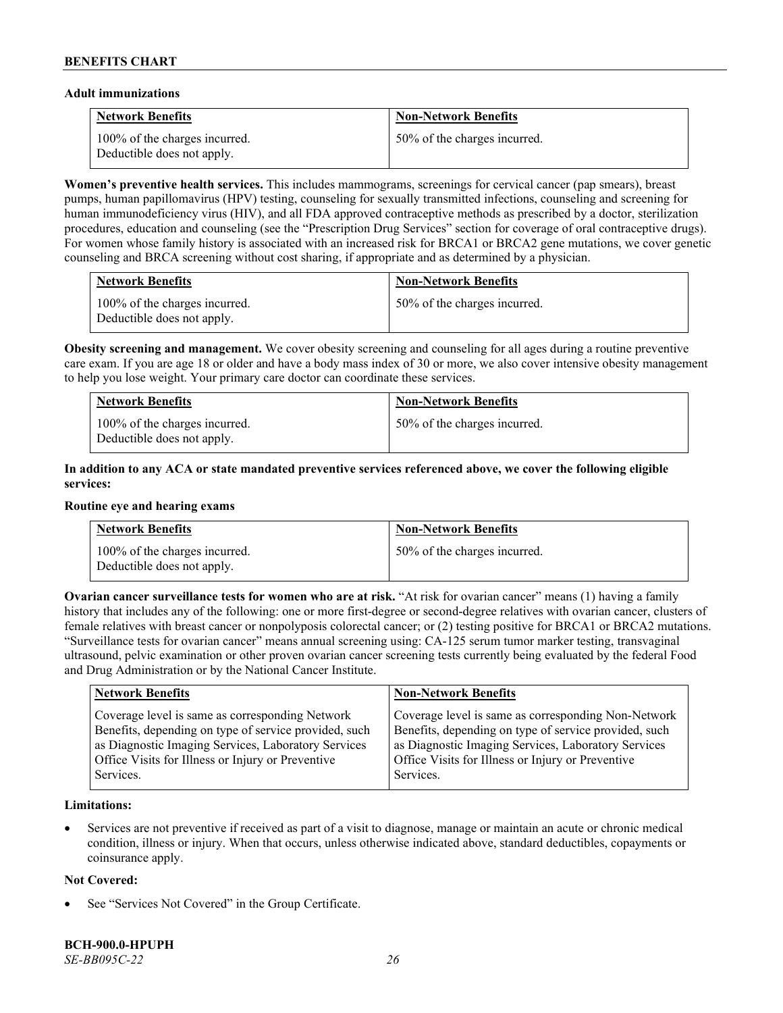#### **Adult immunizations**

| <b>Network Benefits</b>                                     | <b>Non-Network Benefits</b>  |
|-------------------------------------------------------------|------------------------------|
| 100% of the charges incurred.<br>Deductible does not apply. | 50% of the charges incurred. |

**Women's preventive health services.** This includes mammograms, screenings for cervical cancer (pap smears), breast pumps, human papillomavirus (HPV) testing, counseling for sexually transmitted infections, counseling and screening for human immunodeficiency virus (HIV), and all FDA approved contraceptive methods as prescribed by a doctor, sterilization procedures, education and counseling (see the "Prescription Drug Services" section for coverage of oral contraceptive drugs). For women whose family history is associated with an increased risk for BRCA1 or BRCA2 gene mutations, we cover genetic counseling and BRCA screening without cost sharing, if appropriate and as determined by a physician.

| <b>Network Benefits</b>                                     | <b>Non-Network Benefits</b>  |
|-------------------------------------------------------------|------------------------------|
| 100% of the charges incurred.<br>Deductible does not apply. | 50% of the charges incurred. |

**Obesity screening and management.** We cover obesity screening and counseling for all ages during a routine preventive care exam. If you are age 18 or older and have a body mass index of 30 or more, we also cover intensive obesity management to help you lose weight. Your primary care doctor can coordinate these services.

| <b>Network Benefits</b>                                     | <b>Non-Network Benefits</b>  |
|-------------------------------------------------------------|------------------------------|
| 100% of the charges incurred.<br>Deductible does not apply. | 50% of the charges incurred. |

# **In addition to any ACA or state mandated preventive services referenced above, we cover the following eligible services:**

#### **Routine eye and hearing exams**

| <b>Network Benefits</b>                                     | <b>Non-Network Benefits</b>  |
|-------------------------------------------------------------|------------------------------|
| 100% of the charges incurred.<br>Deductible does not apply. | 50% of the charges incurred. |

**Ovarian cancer surveillance tests for women who are at risk. "At risk for ovarian cancer" means (1) having a family** history that includes any of the following: one or more first-degree or second-degree relatives with ovarian cancer, clusters of female relatives with breast cancer or nonpolyposis colorectal cancer; or (2) testing positive for BRCA1 or BRCA2 mutations. "Surveillance tests for ovarian cancer" means annual screening using: CA-125 serum tumor marker testing, transvaginal ultrasound, pelvic examination or other proven ovarian cancer screening tests currently being evaluated by the federal Food and Drug Administration or by the National Cancer Institute.

| <b>Network Benefits</b>                               | <b>Non-Network Benefits</b>                           |
|-------------------------------------------------------|-------------------------------------------------------|
| Coverage level is same as corresponding Network       | Coverage level is same as corresponding Non-Network   |
| Benefits, depending on type of service provided, such | Benefits, depending on type of service provided, such |
| as Diagnostic Imaging Services, Laboratory Services   | as Diagnostic Imaging Services, Laboratory Services   |
| Office Visits for Illness or Injury or Preventive     | Office Visits for Illness or Injury or Preventive     |
| Services.                                             | Services.                                             |

#### **Limitations:**

• Services are not preventive if received as part of a visit to diagnose, manage or maintain an acute or chronic medical condition, illness or injury. When that occurs, unless otherwise indicated above, standard deductibles, copayments or coinsurance apply.

# **Not Covered:**

See "Services Not Covered" in the Group Certificate.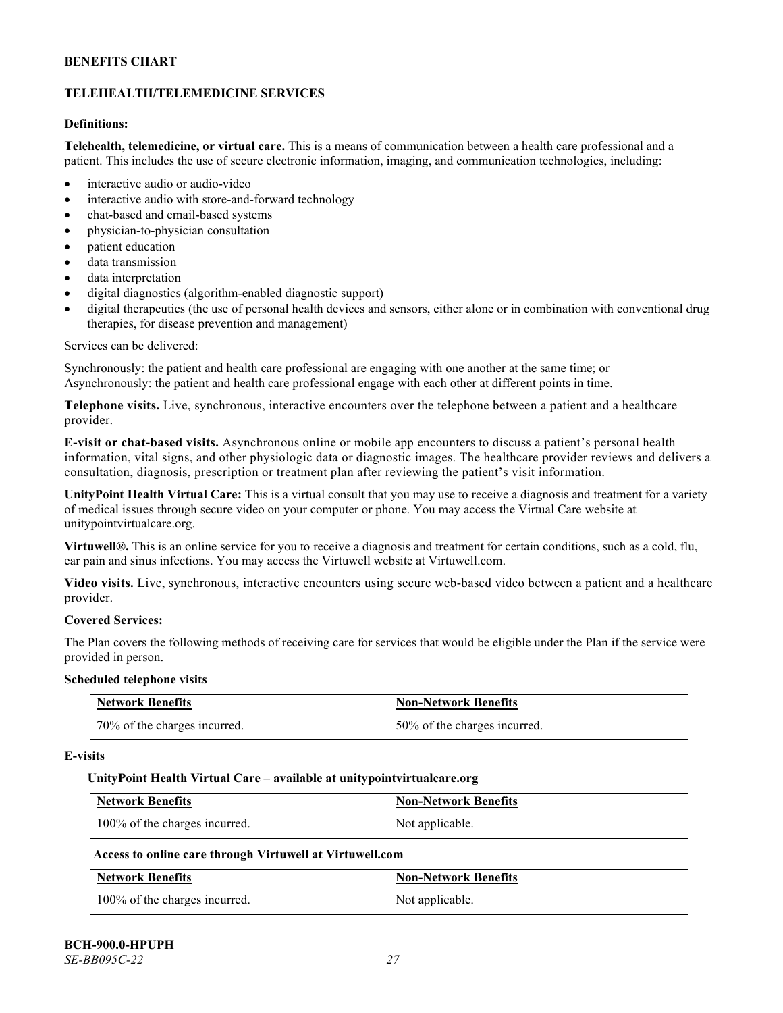# **TELEHEALTH/TELEMEDICINE SERVICES**

# **Definitions:**

**Telehealth, telemedicine, or virtual care.** This is a means of communication between a health care professional and a patient. This includes the use of secure electronic information, imaging, and communication technologies, including:

- interactive audio or audio-video
- interactive audio with store-and-forward technology
- chat-based and email-based systems
- physician-to-physician consultation
- patient education
- data transmission
- data interpretation
- digital diagnostics (algorithm-enabled diagnostic support)
- digital therapeutics (the use of personal health devices and sensors, either alone or in combination with conventional drug therapies, for disease prevention and management)

#### Services can be delivered:

Synchronously: the patient and health care professional are engaging with one another at the same time; or Asynchronously: the patient and health care professional engage with each other at different points in time.

**Telephone visits.** Live, synchronous, interactive encounters over the telephone between a patient and a healthcare provider.

**E-visit or chat-based visits.** Asynchronous online or mobile app encounters to discuss a patient's personal health information, vital signs, and other physiologic data or diagnostic images. The healthcare provider reviews and delivers a consultation, diagnosis, prescription or treatment plan after reviewing the patient's visit information.

**UnityPoint Health Virtual Care:** This is a virtual consult that you may use to receive a diagnosis and treatment for a variety of medical issues through secure video on your computer or phone. You may access the Virtual Care website at [unitypointvirtualcare.org.](https://unitypointvirtualcare.org/landing.htm)

**Virtuwell®.** This is an online service for you to receive a diagnosis and treatment for certain conditions, such as a cold, flu, ear pain and sinus infections. You may access the Virtuwell website at [Virtuwell.com.](https://www.virtuwell.com/)

**Video visits.** Live, synchronous, interactive encounters using secure web-based video between a patient and a healthcare provider.

# **Covered Services:**

The Plan covers the following methods of receiving care for services that would be eligible under the Plan if the service were provided in person.

#### **Scheduled telephone visits**

| <b>Network Benefits</b>      | <b>Non-Network Benefits</b>  |
|------------------------------|------------------------------|
| 70% of the charges incurred. | 50% of the charges incurred. |

#### **E-visits**

#### **UnityPoint Health Virtual Care – available a[t unitypointvirtualcare.org](http://www.unitypointvirtualcare.org/)**

| <b>Network Benefits</b>       | <b>Non-Network Benefits</b> |
|-------------------------------|-----------------------------|
| 100% of the charges incurred. | Not applicable.             |

# **Access to online care through Virtuwell at [Virtuwell.com](http://www.virtuwell.com/)**

| <b>Network Benefits</b>       | <b>Non-Network Benefits</b> |
|-------------------------------|-----------------------------|
| 100% of the charges incurred. | Not applicable.             |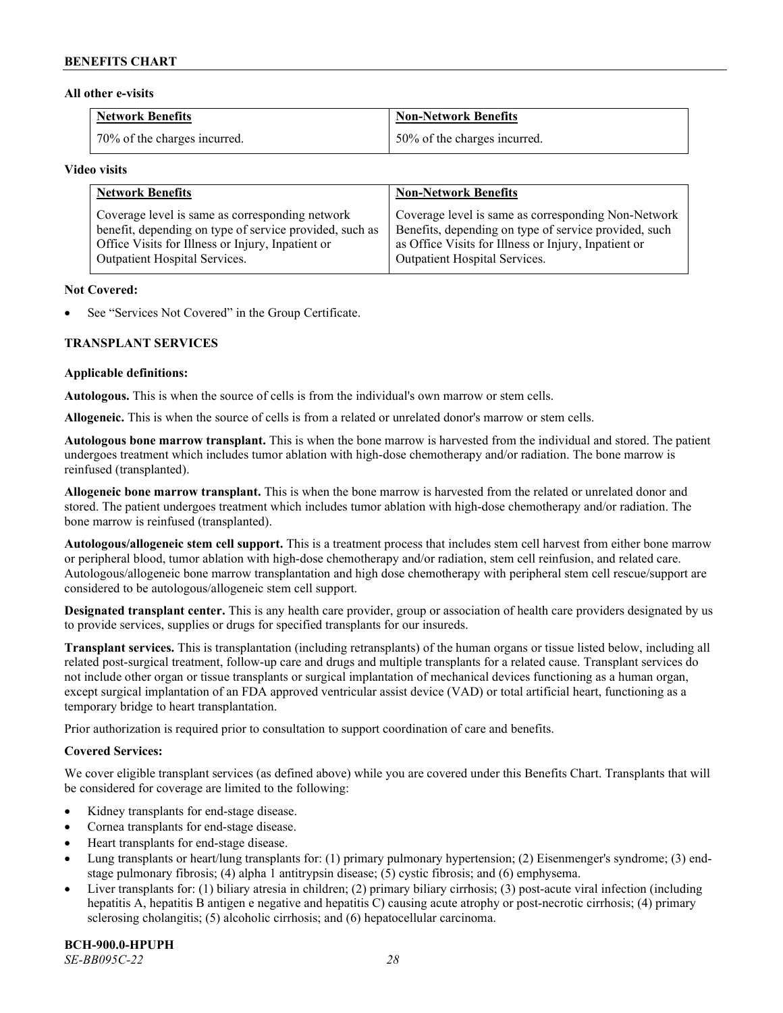### **All other e-visits**

| Network Benefits             | <b>Non-Network Benefits</b>  |
|------------------------------|------------------------------|
| 70% of the charges incurred. | 50% of the charges incurred. |

#### **Video visits**

| <b>Network Benefits</b>                                 | <b>Non-Network Benefits</b>                           |
|---------------------------------------------------------|-------------------------------------------------------|
| Coverage level is same as corresponding network         | Coverage level is same as corresponding Non-Network   |
| benefit, depending on type of service provided, such as | Benefits, depending on type of service provided, such |
| Office Visits for Illness or Injury, Inpatient or       | as Office Visits for Illness or Injury, Inpatient or  |
| Outpatient Hospital Services.                           | Outpatient Hospital Services.                         |

#### **Not Covered:**

See "Services Not Covered" in the Group Certificate.

# **TRANSPLANT SERVICES**

#### **Applicable definitions:**

**Autologous.** This is when the source of cells is from the individual's own marrow or stem cells.

**Allogeneic.** This is when the source of cells is from a related or unrelated donor's marrow or stem cells.

**Autologous bone marrow transplant.** This is when the bone marrow is harvested from the individual and stored. The patient undergoes treatment which includes tumor ablation with high-dose chemotherapy and/or radiation. The bone marrow is reinfused (transplanted).

**Allogeneic bone marrow transplant.** This is when the bone marrow is harvested from the related or unrelated donor and stored. The patient undergoes treatment which includes tumor ablation with high-dose chemotherapy and/or radiation. The bone marrow is reinfused (transplanted).

**Autologous/allogeneic stem cell support.** This is a treatment process that includes stem cell harvest from either bone marrow or peripheral blood, tumor ablation with high-dose chemotherapy and/or radiation, stem cell reinfusion, and related care. Autologous/allogeneic bone marrow transplantation and high dose chemotherapy with peripheral stem cell rescue/support are considered to be autologous/allogeneic stem cell support.

**Designated transplant center.** This is any health care provider, group or association of health care providers designated by us to provide services, supplies or drugs for specified transplants for our insureds.

**Transplant services.** This is transplantation (including retransplants) of the human organs or tissue listed below, including all related post-surgical treatment, follow-up care and drugs and multiple transplants for a related cause. Transplant services do not include other organ or tissue transplants or surgical implantation of mechanical devices functioning as a human organ, except surgical implantation of an FDA approved ventricular assist device (VAD) or total artificial heart, functioning as a temporary bridge to heart transplantation.

Prior authorization is required prior to consultation to support coordination of care and benefits.

# **Covered Services:**

We cover eligible transplant services (as defined above) while you are covered under this Benefits Chart. Transplants that will be considered for coverage are limited to the following:

- Kidney transplants for end-stage disease.
- Cornea transplants for end-stage disease.
- Heart transplants for end-stage disease.
- Lung transplants or heart/lung transplants for: (1) primary pulmonary hypertension; (2) Eisenmenger's syndrome; (3) endstage pulmonary fibrosis; (4) alpha 1 antitrypsin disease; (5) cystic fibrosis; and (6) emphysema.
- Liver transplants for: (1) biliary atresia in children; (2) primary biliary cirrhosis; (3) post-acute viral infection (including hepatitis A, hepatitis B antigen e negative and hepatitis C) causing acute atrophy or post-necrotic cirrhosis; (4) primary sclerosing cholangitis; (5) alcoholic cirrhosis; and (6) hepatocellular carcinoma.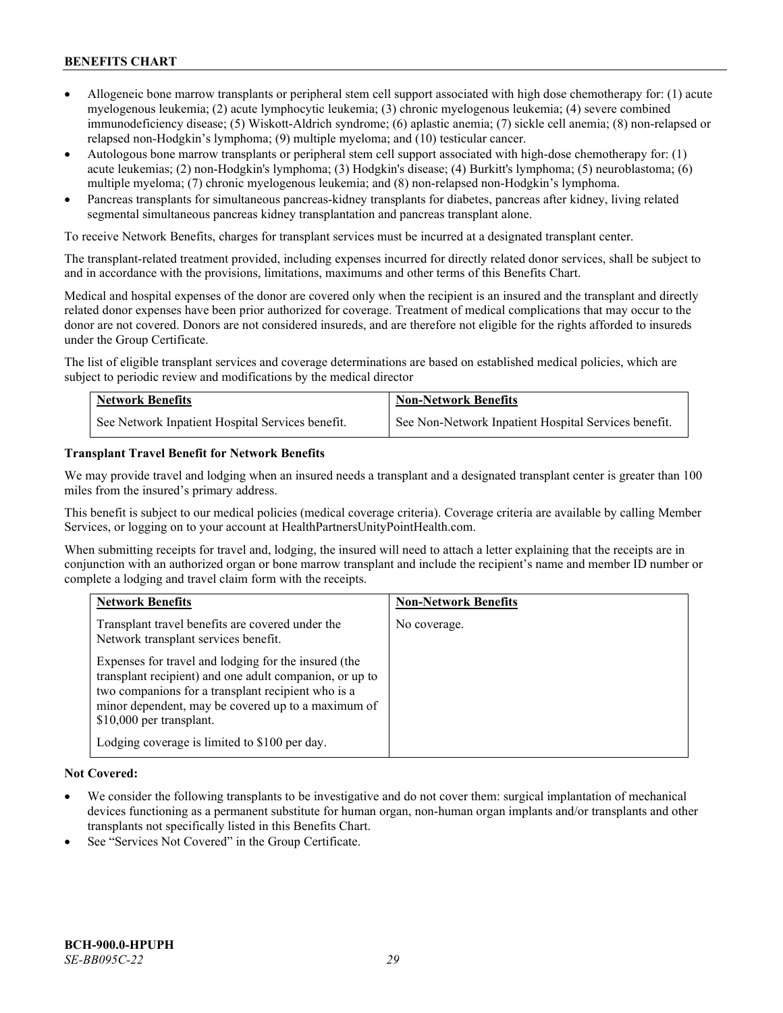- Allogeneic bone marrow transplants or peripheral stem cell support associated with high dose chemotherapy for: (1) acute myelogenous leukemia; (2) acute lymphocytic leukemia; (3) chronic myelogenous leukemia; (4) severe combined immunodeficiency disease; (5) Wiskott-Aldrich syndrome; (6) aplastic anemia; (7) sickle cell anemia; (8) non-relapsed or relapsed non-Hodgkin's lymphoma; (9) multiple myeloma; and (10) testicular cancer.
- Autologous bone marrow transplants or peripheral stem cell support associated with high-dose chemotherapy for: (1) acute leukemias; (2) non-Hodgkin's lymphoma; (3) Hodgkin's disease; (4) Burkitt's lymphoma; (5) neuroblastoma; (6) multiple myeloma; (7) chronic myelogenous leukemia; and (8) non-relapsed non-Hodgkin's lymphoma.
- Pancreas transplants for simultaneous pancreas-kidney transplants for diabetes, pancreas after kidney, living related segmental simultaneous pancreas kidney transplantation and pancreas transplant alone.

To receive Network Benefits, charges for transplant services must be incurred at a designated transplant center.

The transplant-related treatment provided, including expenses incurred for directly related donor services, shall be subject to and in accordance with the provisions, limitations, maximums and other terms of this Benefits Chart.

Medical and hospital expenses of the donor are covered only when the recipient is an insured and the transplant and directly related donor expenses have been prior authorized for coverage. Treatment of medical complications that may occur to the donor are not covered. Donors are not considered insureds, and are therefore not eligible for the rights afforded to insureds under the Group Certificate.

The list of eligible transplant services and coverage determinations are based on established medical policies, which are subject to periodic review and modifications by the medical director

| <b>Network Benefits</b>                          | <b>Non-Network Benefits</b>                          |
|--------------------------------------------------|------------------------------------------------------|
| See Network Inpatient Hospital Services benefit. | See Non-Network Inpatient Hospital Services benefit. |

#### **Transplant Travel Benefit for Network Benefits**

We may provide travel and lodging when an insured needs a transplant and a designated transplant center is greater than 100 miles from the insured's primary address.

This benefit is subject to our medical policies (medical coverage criteria). Coverage criteria are available by calling Member Services, or logging on to your account at [HealthPartnersUnityPointHealth.com.](https://www.healthpartnersunitypointhealth.com/)

When submitting receipts for travel and, lodging, the insured will need to attach a letter explaining that the receipts are in conjunction with an authorized organ or bone marrow transplant and include the recipient's name and member ID number or complete a lodging and travel claim form with the receipts.

| <b>Network Benefits</b>                                                                                                                                                                                                                                 | <b>Non-Network Benefits</b> |
|---------------------------------------------------------------------------------------------------------------------------------------------------------------------------------------------------------------------------------------------------------|-----------------------------|
| Transplant travel benefits are covered under the<br>Network transplant services benefit.                                                                                                                                                                | No coverage.                |
| Expenses for travel and lodging for the insured (the<br>transplant recipient) and one adult companion, or up to<br>two companions for a transplant recipient who is a<br>minor dependent, may be covered up to a maximum of<br>\$10,000 per transplant. |                             |
| Lodging coverage is limited to \$100 per day.                                                                                                                                                                                                           |                             |

# **Not Covered:**

- We consider the following transplants to be investigative and do not cover them: surgical implantation of mechanical devices functioning as a permanent substitute for human organ, non-human organ implants and/or transplants and other transplants not specifically listed in this Benefits Chart.
- See "Services Not Covered" in the Group Certificate.